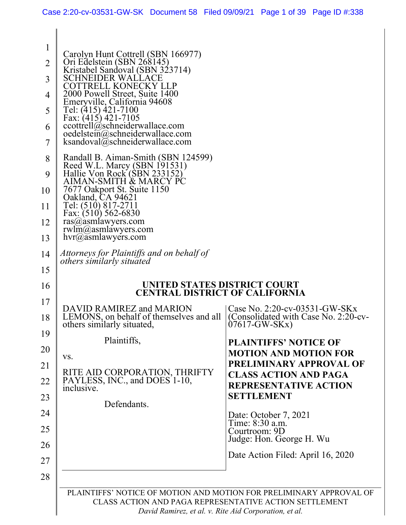| 1<br>2<br>3<br>4<br>5<br>6<br>7<br>8<br>9<br>10<br>11<br>12<br>13 | Carolyn Hunt Cottrell (SBN 166977)<br>Ori Edelstein (SBN 268145)<br>Kristabel Sandoval (SBN 323714)<br>SCHNEIDER WALLACE<br>COTTRELL KONECKY LLP<br>2000 Powell Street, Suite 1400<br>Emeryville, California 94608<br>Tel: (415) 421-7100<br>Fax: $(415)$ 421-7105<br>ccottrell@schneiderwallace.com<br>$o$ edelstein $\omega$ schneiderwallace.com<br>ksandoval@schneiderwallace.com<br>Randall B. Aiman-Smith (SBN 124599)<br>Reed W.L. Marcy (SBN 191531)<br>Hallie Von Rock (SBN 233152)<br>AIMAN-SMITH & MARCY PC<br>7677 Oakport St. Suite 1150<br>Oakland, CA 94621<br>Tel: (510) 817-2711<br>Fax: $(510)$ 562-6830<br>$ras(a)$ asmlawyers.com<br>$rwhm(a)$ asmlawyers.com<br>$hvr(a)$ asmlawyers.com |                                                                                         |
|-------------------------------------------------------------------|--------------------------------------------------------------------------------------------------------------------------------------------------------------------------------------------------------------------------------------------------------------------------------------------------------------------------------------------------------------------------------------------------------------------------------------------------------------------------------------------------------------------------------------------------------------------------------------------------------------------------------------------------------------------------------------------------------------|-----------------------------------------------------------------------------------------|
| 14                                                                | Attorneys for Plaintiffs and on behalf of<br><i>others similarly situated</i>                                                                                                                                                                                                                                                                                                                                                                                                                                                                                                                                                                                                                                |                                                                                         |
| 15                                                                |                                                                                                                                                                                                                                                                                                                                                                                                                                                                                                                                                                                                                                                                                                              |                                                                                         |
| 16                                                                | UNITED STATES DISTRICT COURT<br><b>CENTRAL DISTRICT OF CALIFORNIA</b>                                                                                                                                                                                                                                                                                                                                                                                                                                                                                                                                                                                                                                        |                                                                                         |
| 17<br>18                                                          | DAVID RAMIREZ and MARION<br>LEMONS, on behalf of themselves and all<br>others similarly situated,                                                                                                                                                                                                                                                                                                                                                                                                                                                                                                                                                                                                            | Case No. 2:20-cv-03531-GW-SKx<br>(Consolidated with Case No. 2:20-cv-<br>$07617-GW-SKx$ |
| 19                                                                | Plaintiffs,                                                                                                                                                                                                                                                                                                                                                                                                                                                                                                                                                                                                                                                                                                  | <b>PLAINTIFFS' NOTICE OF</b>                                                            |
| 20                                                                | VS.                                                                                                                                                                                                                                                                                                                                                                                                                                                                                                                                                                                                                                                                                                          | <b>MOTION AND MOTION FOR</b><br>PRELIMINARY APPROVAL OF                                 |
| 21<br>22                                                          | RITE AID CORPORATION, THRIFTY<br>PAYLESS, INC., and DOES 1-10,                                                                                                                                                                                                                                                                                                                                                                                                                                                                                                                                                                                                                                               | <b>CLASS ACTION AND PAGA</b>                                                            |
| 23                                                                | inclusive.                                                                                                                                                                                                                                                                                                                                                                                                                                                                                                                                                                                                                                                                                                   | <b>REPRESENTATIVE ACTION</b><br><b>SETTLEMENT</b>                                       |
|                                                                   | Defendants.                                                                                                                                                                                                                                                                                                                                                                                                                                                                                                                                                                                                                                                                                                  |                                                                                         |
| 24                                                                |                                                                                                                                                                                                                                                                                                                                                                                                                                                                                                                                                                                                                                                                                                              | Date: October 7, 2021<br>Time: 8:30 a.m.                                                |
| 25<br>26                                                          |                                                                                                                                                                                                                                                                                                                                                                                                                                                                                                                                                                                                                                                                                                              | Courtroom: 9D<br>Judge: Hon. George H. Wu                                               |
| 27                                                                |                                                                                                                                                                                                                                                                                                                                                                                                                                                                                                                                                                                                                                                                                                              | Date Action Filed: April 16, 2020                                                       |
|                                                                   |                                                                                                                                                                                                                                                                                                                                                                                                                                                                                                                                                                                                                                                                                                              |                                                                                         |
| 28                                                                |                                                                                                                                                                                                                                                                                                                                                                                                                                                                                                                                                                                                                                                                                                              |                                                                                         |
|                                                                   | PLAINTIFFS' NOTICE OF MOTION AND MOTION FOR PRELIMINARY APPROVAL OF<br>CLASS ACTION AND PAGA REPRESENTATIVE ACTION SETTLEMENT<br>David Ramirez, et al. v. Rite Aid Corporation, et al.                                                                                                                                                                                                                                                                                                                                                                                                                                                                                                                       |                                                                                         |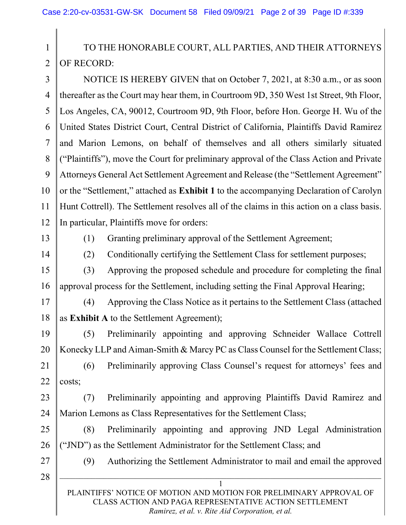1 2 TO THE HONORABLE COURT, ALL PARTIES, AND THEIR ATTORNEYS OF RECORD:

3 4 5 6 7 8 9 10 11 12 NOTICE IS HEREBY GIVEN that on October 7, 2021, at 8:30 a.m., or as soon thereafter as the Court may hear them, in Courtroom 9D, 350 West 1st Street, 9th Floor, Los Angeles, CA, 90012, Courtroom 9D, 9th Floor, before Hon. George H. Wu of the United States District Court, Central District of California, Plaintiffs David Ramirez and Marion Lemons, on behalf of themselves and all others similarly situated ("Plaintiffs"), move the Court for preliminary approval of the Class Action and Private Attorneys General Act Settlement Agreement and Release (the "Settlement Agreement" or the "Settlement," attached as Exhibit 1 to the accompanying Declaration of Carolyn Hunt Cottrell). The Settlement resolves all of the claims in this action on a class basis. In particular, Plaintiffs move for orders:

13

(1) Granting preliminary approval of the Settlement Agreement;

14

(2) Conditionally certifying the Settlement Class for settlement purposes;

15 16 (3) Approving the proposed schedule and procedure for completing the final approval process for the Settlement, including setting the Final Approval Hearing;

17

18

(4) Approving the Class Notice as it pertains to the Settlement Class (attached as Exhibit A to the Settlement Agreement);

19 20 (5) Preliminarily appointing and approving Schneider Wallace Cottrell Konecky LLP and Aiman-Smith & Marcy PC as Class Counsel for the Settlement Class;

21 22 (6) Preliminarily approving Class Counsel's request for attorneys' fees and costs;

23 24 (7) Preliminarily appointing and approving Plaintiffs David Ramirez and Marion Lemons as Class Representatives for the Settlement Class;

25 26 (8) Preliminarily appointing and approving JND Legal Administration ("JND") as the Settlement Administrator for the Settlement Class; and

28

27

(9) Authorizing the Settlement Administrator to mail and email the approved

PLAINTIFFS' NOTICE OF MOTION AND MOTION FOR PRELIMINARY APPROVAL OF CLASS ACTION AND PAGA REPRESENTATIVE ACTION SETTLEMENT Ramirez, et al. v. Rite Aid Corporation, et al.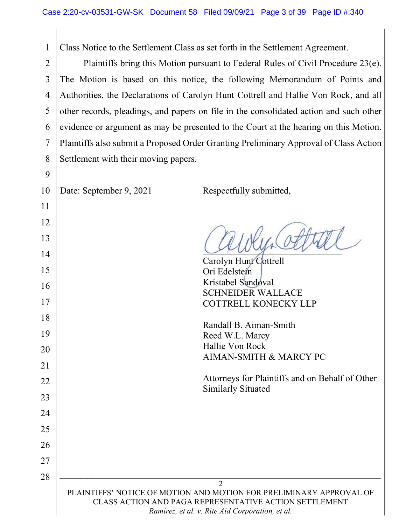1  $\overline{2}$ 3 4 5 6 7 8 Class Notice to the Settlement Class as set forth in the Settlement Agreement. Plaintiffs bring this Motion pursuant to Federal Rules of Civil Procedure 23(e). The Motion is based on this notice, the following Memorandum of Points and Authorities, the Declarations of Carolyn Hunt Cottrell and Hallie Von Rock, and all other records, pleadings, and papers on file in the consolidated action and such other evidence or argument as may be presented to the Court at the hearing on this Motion. Plaintiffs also submit a Proposed Order Granting Preliminary Approval of Class Action Settlement with their moving papers.

22

23

24

25

26

27

28

Date: September 9, 2021 Respectfully submitted,

\_\_\_\_\_\_\_\_\_\_\_\_\_\_\_\_\_\_\_\_\_\_\_\_\_\_\_\_\_\_

Carolyn Hunt Cottrell Ori Edelstein Kristabel Sandoval SCHNEIDER WALLACE COTTRELL KONECKY LLP

Randall B. Aiman-Smith Reed W.L. Marcy Hallie Von Rock AIMAN-SMITH & MARCY PC

Attorneys for Plaintiffs and on Behalf of Other Similarly Situated

PLAINTIFFS' NOTICE OF MOTION AND MOTION FOR PRELIMINARY APPROVAL OF CLASS ACTION AND PAGA REPRESENTATIVE ACTION SETTLEMENT Ramirez, et al. v. Rite Aid Corporation, et al.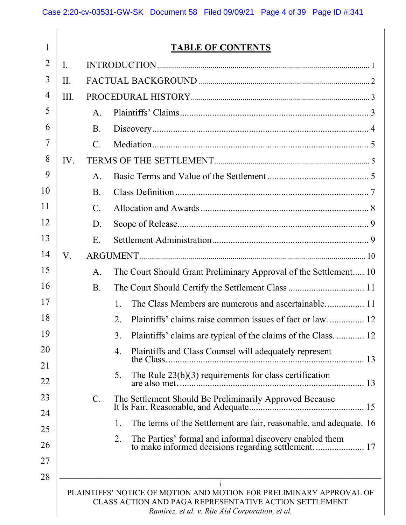| 1              |                |                 | <b>TABLE OF CONTENTS</b>                                                                                                                                                         |
|----------------|----------------|-----------------|----------------------------------------------------------------------------------------------------------------------------------------------------------------------------------|
| $\overline{2}$ | $\mathbf{I}$ . |                 |                                                                                                                                                                                  |
| 3              | II.            |                 |                                                                                                                                                                                  |
| 4              | III.           |                 |                                                                                                                                                                                  |
| 5              |                | A <sub>1</sub>  |                                                                                                                                                                                  |
| 6              |                | <b>B.</b>       |                                                                                                                                                                                  |
| 7              |                | $\mathcal{C}$ . |                                                                                                                                                                                  |
| 8              | IV.            |                 |                                                                                                                                                                                  |
| 9              |                | $\mathsf{A}$ .  |                                                                                                                                                                                  |
| 10             |                | <b>B.</b>       |                                                                                                                                                                                  |
| 11             |                | $\mathbf{C}$ .  |                                                                                                                                                                                  |
| 12             |                | D.              |                                                                                                                                                                                  |
| 13             |                | E.              |                                                                                                                                                                                  |
| 14             | $V_{\cdot}$    |                 |                                                                                                                                                                                  |
| 15             |                | A <sub>1</sub>  | The Court Should Grant Preliminary Approval of the Settlement 10                                                                                                                 |
| 16             |                | <b>B.</b>       |                                                                                                                                                                                  |
| 17             |                |                 | $\mathbf{1}$ .                                                                                                                                                                   |
| 18             |                |                 | Plaintiffs' claims raise common issues of fact or law 12<br>2.                                                                                                                   |
| 19             |                |                 | Plaintiffs' claims are typical of the claims of the Class.  12<br>3.                                                                                                             |
| 20             |                |                 | Plaintiffs and Class Counsel will adequately represent<br>4.                                                                                                                     |
| 21             |                |                 | The Rule $23(b)(3)$ requirements for class certification<br>5.                                                                                                                   |
| 22             |                |                 |                                                                                                                                                                                  |
| 23             |                | $\mathbf{C}$ .  |                                                                                                                                                                                  |
| 24             |                |                 | The terms of the Settlement are fair, reasonable, and adequate. 16<br>1.                                                                                                         |
| 25             |                |                 | 2.                                                                                                                                                                               |
| 26             |                |                 | The Parties' formal and informal discovery enabled them<br>to make informed decisions regarding settlement 17                                                                    |
| 27             |                |                 |                                                                                                                                                                                  |
| 28             |                |                 | $\mathbf{i}$                                                                                                                                                                     |
|                |                |                 | PLAINTIFFS' NOTICE OF MOTION AND MOTION FOR PRELIMINARY APPROVAL OF<br>CLASS ACTION AND PAGA REPRESENTATIVE ACTION SETTLEMENT<br>Ramirez, et al. v. Rite Aid Corporation, et al. |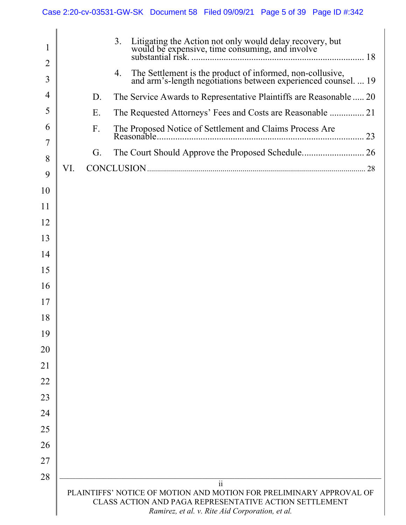| 1              |     |    | 3.                                                                                                                                                                                                      |
|----------------|-----|----|---------------------------------------------------------------------------------------------------------------------------------------------------------------------------------------------------------|
| $\overline{2}$ |     |    |                                                                                                                                                                                                         |
| 3              |     |    | The Settlement is the product of informed, non-collusive,<br>and arm's-length negotiations between experienced counsel.  19<br>4.                                                                       |
| 4              |     | D. | The Service Awards to Representative Plaintiffs are Reasonable  20                                                                                                                                      |
| 5              |     | Ε. |                                                                                                                                                                                                         |
| 6<br>7         |     | F. | The Proposed Notice of Settlement and Claims Process Are                                                                                                                                                |
| 8              |     | G. |                                                                                                                                                                                                         |
| 9              | VI. |    |                                                                                                                                                                                                         |
| 10             |     |    |                                                                                                                                                                                                         |
| 11             |     |    |                                                                                                                                                                                                         |
| 12             |     |    |                                                                                                                                                                                                         |
| 13             |     |    |                                                                                                                                                                                                         |
| 14             |     |    |                                                                                                                                                                                                         |
| 15             |     |    |                                                                                                                                                                                                         |
| 16             |     |    |                                                                                                                                                                                                         |
| 17             |     |    |                                                                                                                                                                                                         |
| 18             |     |    |                                                                                                                                                                                                         |
| 19             |     |    |                                                                                                                                                                                                         |
| 20             |     |    |                                                                                                                                                                                                         |
| 21             |     |    |                                                                                                                                                                                                         |
| 22             |     |    |                                                                                                                                                                                                         |
| 23             |     |    |                                                                                                                                                                                                         |
| 24             |     |    |                                                                                                                                                                                                         |
| 25             |     |    |                                                                                                                                                                                                         |
| 26             |     |    |                                                                                                                                                                                                         |
| 27             |     |    |                                                                                                                                                                                                         |
| 28             |     |    |                                                                                                                                                                                                         |
|                |     |    | $\ddot{\mathbf{i}}$<br>PLAINTIFFS' NOTICE OF MOTION AND MOTION FOR PRELIMINARY APPROVAL OF<br>CLASS ACTION AND PAGA REPRESENTATIVE ACTION SETTLEMENT<br>Ramirez, et al. v. Rite Aid Corporation, et al. |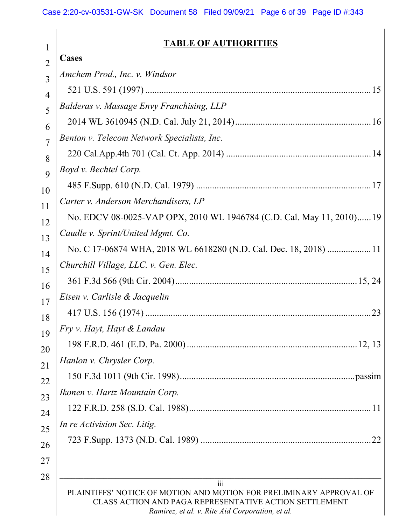#### iii PLAINTIFFS' NOTICE OF MOTION AND MOTION FOR PRELIMINARY APPROVAL OF CLASS ACTION AND PAGA REPRESENTATIVE ACTION SETTLEMENT Ramirez, et al. v. Rite Aid Corporation, et al. 1  $\mathcal{L}$ 3 4 5 6 7 8 9 10 11 12 13 14 15 16 17 18 19 20 21 22 23 24 25 26 27 28 TABLE OF AUTHORITIES Cases Amchem Prod., Inc. v. Windsor 521 U.S. 591 (1997) .................................................................................................. 15 Balderas v. Massage Envy Franchising, LLP 2014 WL 3610945 (N.D. Cal. July 21, 2014) ........................................................... 16 Benton v. Telecom Network Specialists, Inc. 220 Cal.App.4th 701 (Cal. Ct. App. 2014) ............................................................... 14 Boyd v. Bechtel Corp. 485 F.Supp. 610 (N.D. Cal. 1979) ............................................................................ 17 Carter v. Anderson Merchandisers, LP No. EDCV 08-0025-VAP OPX, 2010 WL 1946784 (C.D. Cal. May 11, 2010) ...... 19 Caudle v. Sprint/United Mgmt. Co. No. C 17-06874 WHA, 2018 WL 6618280 (N.D. Cal. Dec. 18, 2018) ................... 11 Churchill Village, LLC. v. Gen. Elec. 361 F.3d 566 (9th Cir. 2004) ............................................................................... 15, 24 Eisen v. Carlisle & Jacquelin 417 U.S. 156 (1974) .................................................................................................. 23 Fry v. Hayt, Hayt & Landau 198 F.R.D. 461 (E.D. Pa. 2000) .......................................................................... 12, 13 Hanlon v. Chrysler Corp. 150 F.3d 1011 (9th Cir. 1998) ............................................................................ passim Ikonen v. Hartz Mountain Corp. 122 F.R.D. 258 (S.D. Cal. 1988) ............................................................................... 11 In re Activision Sec. Litig. 723 F.Supp. 1373 (N.D. Cal. 1989) .......................................................................... 22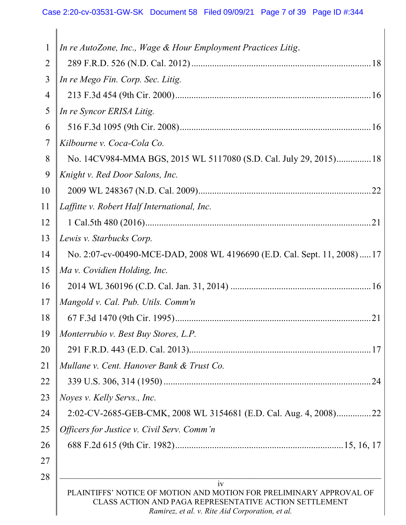| $\mathbf{1}$ | In re AutoZone, Inc., Wage & Hour Employment Practices Litig.                                                                                                                           |
|--------------|-----------------------------------------------------------------------------------------------------------------------------------------------------------------------------------------|
| 2            |                                                                                                                                                                                         |
| 3            | In re Mego Fin. Corp. Sec. Litig.                                                                                                                                                       |
| 4            |                                                                                                                                                                                         |
| 5            | In re Syncor ERISA Litig.                                                                                                                                                               |
| 6            |                                                                                                                                                                                         |
| 7            | Kilbourne v. Coca-Cola Co.                                                                                                                                                              |
| 8            | No. 14CV984-MMA BGS, 2015 WL 5117080 (S.D. Cal. July 29, 2015) 18                                                                                                                       |
| 9            | Knight v. Red Door Salons, Inc.                                                                                                                                                         |
| 10           |                                                                                                                                                                                         |
| 11           | Laffitte v. Robert Half International, Inc.                                                                                                                                             |
| 12           |                                                                                                                                                                                         |
| 13           | Lewis v. Starbucks Corp.                                                                                                                                                                |
| 14           | No. 2:07-cv-00490-MCE-DAD, 2008 WL 4196690 (E.D. Cal. Sept. 11, 2008)  17                                                                                                               |
| 15           | Ma v. Covidien Holding, Inc.                                                                                                                                                            |
| 16           |                                                                                                                                                                                         |
| 17           | Mangold v. Cal. Pub. Utils. Comm'n                                                                                                                                                      |
| 18           |                                                                                                                                                                                         |
| 19           | $\parallel$ Monterrubio v. Best Buy Stores, L.P.                                                                                                                                        |
| 20           |                                                                                                                                                                                         |
| 21           | Mullane v. Cent. Hanover Bank & Trust Co.                                                                                                                                               |
| 22           |                                                                                                                                                                                         |
| 23           | Noyes v. Kelly Servs., Inc.                                                                                                                                                             |
| 24           | 2:02-CV-2685-GEB-CMK, 2008 WL 3154681 (E.D. Cal. Aug. 4, 2008)22                                                                                                                        |
| 25           | Officers for Justice v. Civil Serv. Comm'n                                                                                                                                              |
| 26           |                                                                                                                                                                                         |
| 27           |                                                                                                                                                                                         |
| 28           | iv                                                                                                                                                                                      |
|              | PLAINTIFFS' NOTICE OF MOTION AND MOTION FOR PRELIMINARY APPROVAL OF<br><b>CLASS ACTION AND PAGA REPRESENTATIVE ACTION SETTLEMENT</b><br>Ramirez, et al. v. Rite Aid Corporation, et al. |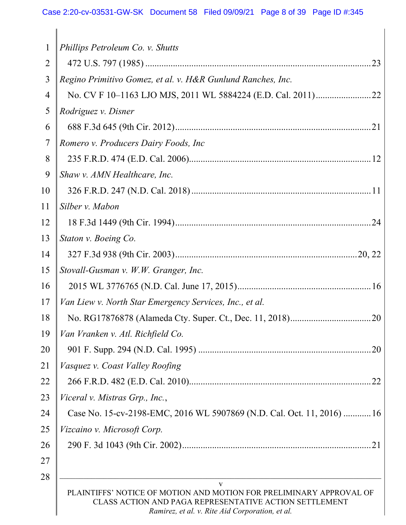# Case 2:20-cv-03531-GW-SK Document 58 Filed 09/09/21 Page 8 of 39 Page ID #:345

| $\mathbf{1}$ | Phillips Petroleum Co. v. Shutts                                                                                                                                                 |
|--------------|----------------------------------------------------------------------------------------------------------------------------------------------------------------------------------|
| 2            |                                                                                                                                                                                  |
| 3            | Regino Primitivo Gomez, et al. v. H&R Gunlund Ranches, Inc.                                                                                                                      |
| 4            |                                                                                                                                                                                  |
| 5            | Rodriguez v. Disner                                                                                                                                                              |
| 6            |                                                                                                                                                                                  |
| 7            | Romero v. Producers Dairy Foods, Inc.                                                                                                                                            |
| 8            |                                                                                                                                                                                  |
| 9            | Shaw v. AMN Healthcare, Inc.                                                                                                                                                     |
| 10           |                                                                                                                                                                                  |
| 11           | Silber v. Mabon                                                                                                                                                                  |
| 12           |                                                                                                                                                                                  |
| 13           | Staton v. Boeing Co.                                                                                                                                                             |
| 14           |                                                                                                                                                                                  |
| 15           | Stovall-Gusman v. W.W. Granger, Inc.                                                                                                                                             |
| 16           |                                                                                                                                                                                  |
| 17           | Van Liew v. North Star Emergency Services, Inc., et al.                                                                                                                          |
| 18           |                                                                                                                                                                                  |
| 19           | Van Vranken v. Atl. Richfield Co.                                                                                                                                                |
| 20           | .20                                                                                                                                                                              |
| 21           | Vasquez v. Coast Valley Roofing                                                                                                                                                  |
| 22           |                                                                                                                                                                                  |
| 23           | Viceral v. Mistras Grp., Inc.,                                                                                                                                                   |
| 24           | Case No. 15-cv-2198-EMC, 2016 WL 5907869 (N.D. Cal. Oct. 11, 2016) 16                                                                                                            |
| 25           | Vizcaino v. Microsoft Corp.                                                                                                                                                      |
| 26           |                                                                                                                                                                                  |
| 27           |                                                                                                                                                                                  |
| 28           | V                                                                                                                                                                                |
|              | PLAINTIFFS' NOTICE OF MOTION AND MOTION FOR PRELIMINARY APPROVAL OF<br>CLASS ACTION AND PAGA REPRESENTATIVE ACTION SETTLEMENT<br>Ramirez, et al. v. Rite Aid Corporation, et al. |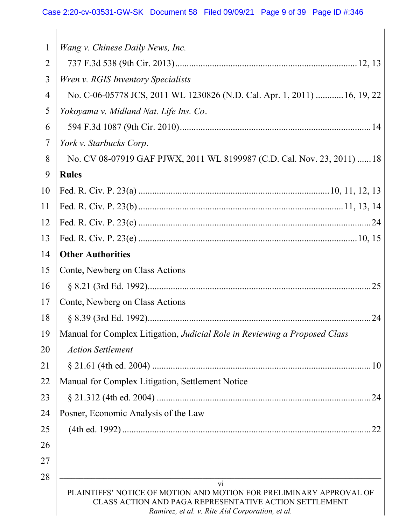| $\mathbf{1}$   | Wang v. Chinese Daily News, Inc.                                                                                                                                                 |
|----------------|----------------------------------------------------------------------------------------------------------------------------------------------------------------------------------|
| $\overline{2}$ |                                                                                                                                                                                  |
| 3              | Wren v. RGIS Inventory Specialists                                                                                                                                               |
| 4              | No. C-06-05778 JCS, 2011 WL 1230826 (N.D. Cal. Apr. 1, 2011)  16, 19, 22                                                                                                         |
| 5              | Yokoyama v. Midland Nat. Life Ins. Co.                                                                                                                                           |
| 6              |                                                                                                                                                                                  |
| $\overline{7}$ | York v. Starbucks Corp.                                                                                                                                                          |
| 8              | No. CV 08-07919 GAF PJWX, 2011 WL 8199987 (C.D. Cal. Nov. 23, 2011) 18                                                                                                           |
| 9              | <b>Rules</b>                                                                                                                                                                     |
| 10             |                                                                                                                                                                                  |
| 11             |                                                                                                                                                                                  |
| 12             |                                                                                                                                                                                  |
| 13             |                                                                                                                                                                                  |
| 14             | <b>Other Authorities</b>                                                                                                                                                         |
| 15             | Conte, Newberg on Class Actions                                                                                                                                                  |
| 16             |                                                                                                                                                                                  |
| 17             | Conte, Newberg on Class Actions                                                                                                                                                  |
| 18             | 24                                                                                                                                                                               |
| 19             | Manual for Complex Litigation, Judicial Role in Reviewing a Proposed Class                                                                                                       |
| 20             | <b>Action Settlement</b>                                                                                                                                                         |
| 21             |                                                                                                                                                                                  |
| 22             | Manual for Complex Litigation, Settlement Notice                                                                                                                                 |
| 23             | .24                                                                                                                                                                              |
| 24             | Posner, Economic Analysis of the Law                                                                                                                                             |
| 25             | 22                                                                                                                                                                               |
| 26             |                                                                                                                                                                                  |
| 27             |                                                                                                                                                                                  |
| 28             | vi                                                                                                                                                                               |
|                | PLAINTIFFS' NOTICE OF MOTION AND MOTION FOR PRELIMINARY APPROVAL OF<br>CLASS ACTION AND PAGA REPRESENTATIVE ACTION SETTLEMENT<br>Ramirez, et al. v. Rite Aid Corporation, et al. |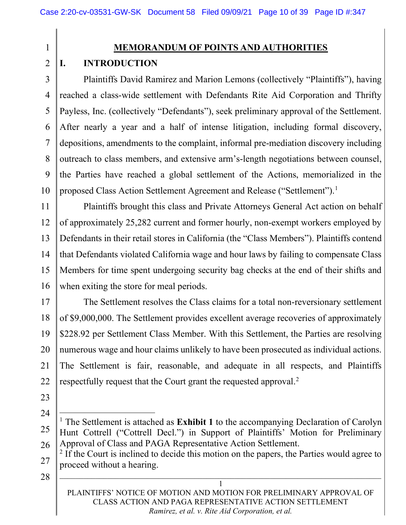1  $\mathfrak{D}$ 

### MEMORANDUM OF POINTS AND AUTHORITIES

## I. INTRODUCTION

3 4 5 6 7 8 9 10 Plaintiffs David Ramirez and Marion Lemons (collectively "Plaintiffs"), having reached a class-wide settlement with Defendants Rite Aid Corporation and Thrifty Payless, Inc. (collectively "Defendants"), seek preliminary approval of the Settlement. After nearly a year and a half of intense litigation, including formal discovery, depositions, amendments to the complaint, informal pre-mediation discovery including outreach to class members, and extensive arm's-length negotiations between counsel, the Parties have reached a global settlement of the Actions, memorialized in the proposed Class Action Settlement Agreement and Release ("Settlement").<sup>1</sup>

11 12 13 14 15 16 Plaintiffs brought this class and Private Attorneys General Act action on behalf of approximately 25,282 current and former hourly, non-exempt workers employed by Defendants in their retail stores in California (the "Class Members"). Plaintiffs contend that Defendants violated California wage and hour laws by failing to compensate Class Members for time spent undergoing security bag checks at the end of their shifts and when exiting the store for meal periods.

17 18 19 20 21 22 The Settlement resolves the Class claims for a total non-reversionary settlement of \$9,000,000. The Settlement provides excellent average recoveries of approximately \$228.92 per Settlement Class Member. With this Settlement, the Parties are resolving numerous wage and hour claims unlikely to have been prosecuted as individual actions. The Settlement is fair, reasonable, and adequate in all respects, and Plaintiffs respectfully request that the Court grant the requested approval.<sup>2</sup>

- 23
- 24

28

PLAINTIFFS' NOTICE OF MOTION AND MOTION FOR PRELIMINARY APPROVAL OF CLASS ACTION AND PAGA REPRESENTATIVE ACTION SETTLEMENT Ramirez, et al. v. Rite Aid Corporation, et al.

<sup>25</sup>  26 <sup>1</sup> The Settlement is attached as Exhibit 1 to the accompanying Declaration of Carolyn Hunt Cottrell ("Cottrell Decl.") in Support of Plaintiffs' Motion for Preliminary Approval of Class and PAGA Representative Action Settlement.

<sup>27</sup>  <sup>2</sup> If the Court is inclined to decide this motion on the papers, the Parties would agree to proceed without a hearing.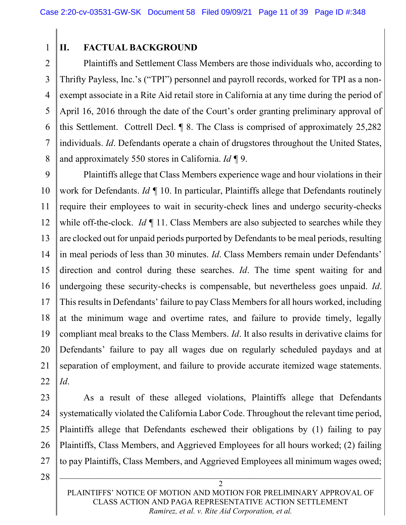1

## II. FACTUAL BACKGROUND

2 3 4 5 6 7 8 Plaintiffs and Settlement Class Members are those individuals who, according to Thrifty Payless, Inc.'s ("TPI") personnel and payroll records, worked for TPI as a nonexempt associate in a Rite Aid retail store in California at any time during the period of April 16, 2016 through the date of the Court's order granting preliminary approval of this Settlement. Cottrell Decl. ¶ 8. The Class is comprised of approximately 25,282 individuals. Id. Defendants operate a chain of drugstores throughout the United States, and approximately 550 stores in California.  $Id \P$ 9.

9 10 11 12 13 14 15 16 17 18 19 20 21 22 Plaintiffs allege that Class Members experience wage and hour violations in their work for Defendants. Id  $\P$  10. In particular, Plaintiffs allege that Defendants routinely require their employees to wait in security-check lines and undergo security-checks while off-the-clock. Id  $\P$  11. Class Members are also subjected to searches while they are clocked out for unpaid periods purported by Defendants to be meal periods, resulting in meal periods of less than 30 minutes. *Id*. Class Members remain under Defendants' direction and control during these searches. Id. The time spent waiting for and undergoing these security-checks is compensable, but nevertheless goes unpaid. Id. This results in Defendants' failure to pay Class Members for all hours worked, including at the minimum wage and overtime rates, and failure to provide timely, legally compliant meal breaks to the Class Members. Id. It also results in derivative claims for Defendants' failure to pay all wages due on regularly scheduled paydays and at separation of employment, and failure to provide accurate itemized wage statements. Id.

As a result of these alleged violations, Plaintiffs allege that Defendants systematically violated the California Labor Code. Throughout the relevant time period, Plaintiffs allege that Defendants eschewed their obligations by (1) failing to pay Plaintiffs, Class Members, and Aggrieved Employees for all hours worked; (2) failing to pay Plaintiffs, Class Members, and Aggrieved Employees all minimum wages owed;

28

27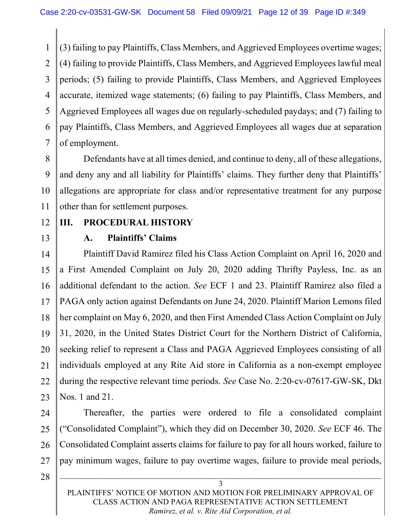1 2 3 4 5 6 7 (3) failing to pay Plaintiffs, Class Members, and Aggrieved Employees overtime wages; (4) failing to provide Plaintiffs, Class Members, and Aggrieved Employees lawful meal periods; (5) failing to provide Plaintiffs, Class Members, and Aggrieved Employees accurate, itemized wage statements; (6) failing to pay Plaintiffs, Class Members, and Aggrieved Employees all wages due on regularly-scheduled paydays; and (7) failing to pay Plaintiffs, Class Members, and Aggrieved Employees all wages due at separation of employment.

8 9 10 11 Defendants have at all times denied, and continue to deny, all of these allegations, and deny any and all liability for Plaintiffs' claims. They further deny that Plaintiffs' allegations are appropriate for class and/or representative treatment for any purpose other than for settlement purposes.

12 13

## III. PROCEDURAL HISTORY

A. Plaintiffs' Claims

14 15 16 17 18 19 20 21 22 23 Plaintiff David Ramirez filed his Class Action Complaint on April 16, 2020 and a First Amended Complaint on July 20, 2020 adding Thrifty Payless, Inc. as an additional defendant to the action. See ECF 1 and 23. Plaintiff Ramirez also filed a PAGA only action against Defendants on June 24, 2020. Plaintiff Marion Lemons filed her complaint on May 6, 2020, and then First Amended Class Action Complaint on July 31, 2020, in the United States District Court for the Northern District of California, seeking relief to represent a Class and PAGA Aggrieved Employees consisting of all individuals employed at any Rite Aid store in California as a non-exempt employee during the respective relevant time periods. See Case No. 2:20-cv-07617-GW-SK, Dkt Nos. 1 and 21.

24 25 26 27 Thereafter, the parties were ordered to file a consolidated complaint ("Consolidated Complaint"), which they did on December 30, 2020. See ECF 46. The Consolidated Complaint asserts claims for failure to pay for all hours worked, failure to pay minimum wages, failure to pay overtime wages, failure to provide meal periods,

28

PLAINTIFFS' NOTICE OF MOTION AND MOTION FOR PRELIMINARY APPROVAL OF CLASS ACTION AND PAGA REPRESENTATIVE ACTION SETTLEMENT Ramirez, et al. v. Rite Aid Corporation, et al.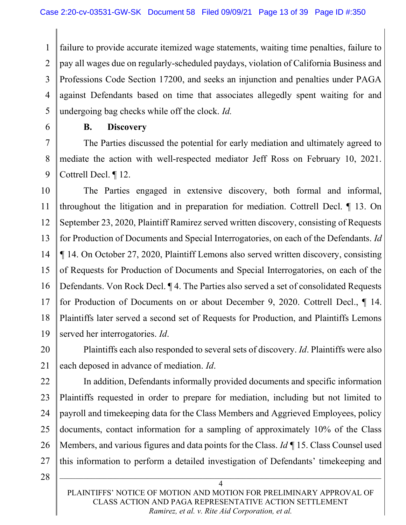1 2 3 4 5 failure to provide accurate itemized wage statements, waiting time penalties, failure to pay all wages due on regularly-scheduled paydays, violation of California Business and Professions Code Section 17200, and seeks an injunction and penalties under PAGA against Defendants based on time that associates allegedly spent waiting for and undergoing bag checks while off the clock. Id.

6

### B. Discovery

7 8 9 The Parties discussed the potential for early mediation and ultimately agreed to mediate the action with well-respected mediator Jeff Ross on February 10, 2021. Cottrell Decl. ¶ 12.

10 11 12 13 14 15 16 17 18 19 The Parties engaged in extensive discovery, both formal and informal, throughout the litigation and in preparation for mediation. Cottrell Decl. ¶ 13. On September 23, 2020, Plaintiff Ramirez served written discovery, consisting of Requests for Production of Documents and Special Interrogatories, on each of the Defendants. Id ¶ 14. On October 27, 2020, Plaintiff Lemons also served written discovery, consisting of Requests for Production of Documents and Special Interrogatories, on each of the Defendants. Von Rock Decl. ¶ 4. The Parties also served a set of consolidated Requests for Production of Documents on or about December 9, 2020. Cottrell Decl., ¶ 14. Plaintiffs later served a second set of Requests for Production, and Plaintiffs Lemons served her interrogatories. Id.

20 21 Plaintiffs each also responded to several sets of discovery. Id. Plaintiffs were also each deposed in advance of mediation. Id.

22 23 24 25 26 27 In addition, Defendants informally provided documents and specific information Plaintiffs requested in order to prepare for mediation, including but not limited to payroll and timekeeping data for the Class Members and Aggrieved Employees, policy documents, contact information for a sampling of approximately 10% of the Class Members, and various figures and data points for the Class. *Id* 15. Class Counsel used this information to perform a detailed investigation of Defendants' timekeeping and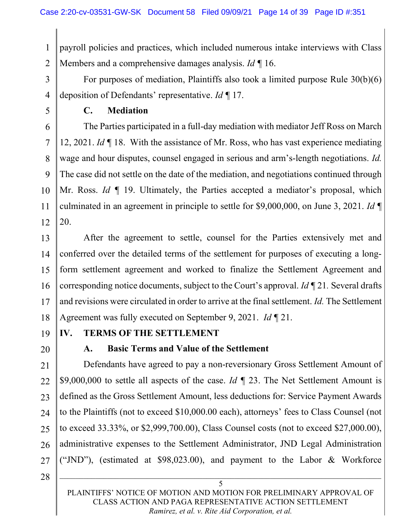1 2 payroll policies and practices, which included numerous intake interviews with Class Members and a comprehensive damages analysis. Id  $\P$  16.

- 3 For purposes of mediation, Plaintiffs also took a limited purpose Rule 30(b)(6) deposition of Defendants' representative. Id ¶ 17.
- 5

4

## C. Mediation

6 7 8 9 10 11 12 The Parties participated in a full-day mediation with mediator Jeff Ross on March 12, 2021. Id ¶ 18. With the assistance of Mr. Ross, who has vast experience mediating wage and hour disputes, counsel engaged in serious and arm's-length negotiations. Id. The case did not settle on the date of the mediation, and negotiations continued through Mr. Ross. Id  $\P$  19. Ultimately, the Parties accepted a mediator's proposal, which culminated in an agreement in principle to settle for \$9,000,000, on June 3, 2021. Id  $\P$ 20.

13 14 15 16 17 18 After the agreement to settle, counsel for the Parties extensively met and conferred over the detailed terms of the settlement for purposes of executing a longform settlement agreement and worked to finalize the Settlement Agreement and corresponding notice documents, subject to the Court's approval.  $Id \P 21$ . Several drafts and revisions were circulated in order to arrive at the final settlement. Id. The Settlement Agreement was fully executed on September 9, 2021. Id ¶ 21.

19 20

## IV. TERMS OF THE SETTLEMENT

A. Basic Terms and Value of the Settlement

21 22 23 24 25 26 27 Defendants have agreed to pay a non-reversionary Gross Settlement Amount of \$9,000,000 to settle all aspects of the case. Id  $\P$  23. The Net Settlement Amount is defined as the Gross Settlement Amount, less deductions for: Service Payment Awards to the Plaintiffs (not to exceed \$10,000.00 each), attorneys' fees to Class Counsel (not to exceed 33.33%, or \$2,999,700.00), Class Counsel costs (not to exceed \$27,000.00), administrative expenses to the Settlement Administrator, JND Legal Administration ("JND"), (estimated at \$98,023.00), and payment to the Labor & Workforce

28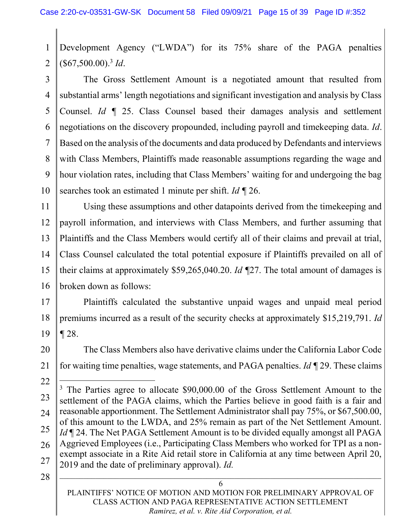1  $\mathfrak{D}$ Development Agency ("LWDA") for its 75% share of the PAGA penalties  $(\$67,500.00).$ <sup>3</sup> Id.

3 4 5 6 7 8 9 10 The Gross Settlement Amount is a negotiated amount that resulted from substantial arms' length negotiations and significant investigation and analysis by Class Counsel. Id ¶ 25. Class Counsel based their damages analysis and settlement negotiations on the discovery propounded, including payroll and timekeeping data. *Id*. Based on the analysis of the documents and data produced by Defendants and interviews with Class Members, Plaintiffs made reasonable assumptions regarding the wage and hour violation rates, including that Class Members' waiting for and undergoing the bag searches took an estimated 1 minute per shift.  $Id \P 26$ .

11 12 13 14 15 16 Using these assumptions and other datapoints derived from the timekeeping and payroll information, and interviews with Class Members, and further assuming that Plaintiffs and the Class Members would certify all of their claims and prevail at trial, Class Counsel calculated the total potential exposure if Plaintiffs prevailed on all of their claims at approximately \$59,265,040.20. Id ¶27. The total amount of damages is broken down as follows:

17 18 19 Plaintiffs calculated the substantive unpaid wages and unpaid meal period premiums incurred as a result of the security checks at approximately \$15,219,791. Id ¶ 28.

- 20 21 The Class Members also have derivative claims under the California Labor Code for waiting time penalties, wage statements, and PAGA penalties. Id  $\P$  29. These claims
- 22 23 24 25 26 27 <sup>3</sup> The Parties agree to allocate \$90,000.00 of the Gross Settlement Amount to the settlement of the PAGA claims, which the Parties believe in good faith is a fair and reasonable apportionment. The Settlement Administrator shall pay 75%, or \$67,500.00, of this amount to the LWDA, and 25% remain as part of the Net Settlement Amount. Id | 24. The Net PAGA Settlement Amount is to be divided equally amongst all PAGA Aggrieved Employees (i.e., Participating Class Members who worked for TPI as a nonexempt associate in a Rite Aid retail store in California at any time between April 20, 2019 and the date of preliminary approval). *Id.*
- 28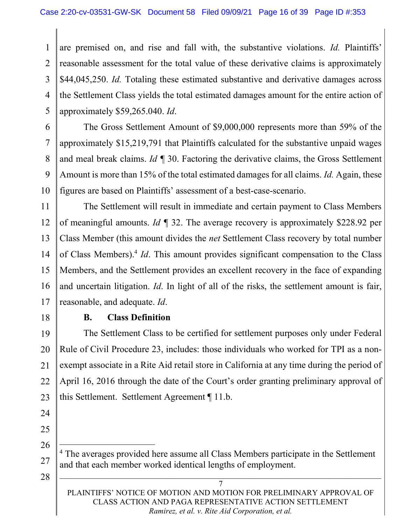1 2 3 4 5 are premised on, and rise and fall with, the substantive violations. Id. Plaintiffs' reasonable assessment for the total value of these derivative claims is approximately \$44,045,250. Id. Totaling these estimated substantive and derivative damages across the Settlement Class yields the total estimated damages amount for the entire action of approximately \$59,265.040. Id.

6 7 8 9 10 The Gross Settlement Amount of \$9,000,000 represents more than 59% of the approximately \$15,219,791 that Plaintiffs calculated for the substantive unpaid wages and meal break claims. Id  $\P$  30. Factoring the derivative claims, the Gross Settlement Amount is more than 15% of the total estimated damages for all claims. Id. Again, these figures are based on Plaintiffs' assessment of a best-case-scenario.

11 12 13 14 15 16 17 The Settlement will result in immediate and certain payment to Class Members of meaningful amounts. Id  $\P$  32. The average recovery is approximately \$228.92 per Class Member (this amount divides the net Settlement Class recovery by total number of Class Members).<sup>4</sup> *Id*. This amount provides significant compensation to the Class Members, and the Settlement provides an excellent recovery in the face of expanding and uncertain litigation. Id. In light of all of the risks, the settlement amount is fair, reasonable, and adequate. Id.

18

### B. Class Definition

19 20 21 22 23 The Settlement Class to be certified for settlement purposes only under Federal Rule of Civil Procedure 23, includes: those individuals who worked for TPI as a nonexempt associate in a Rite Aid retail store in California at any time during the period of April 16, 2016 through the date of the Court's order granting preliminary approval of this Settlement. Settlement Agreement ¶ 11.b.

- 24
- 25 26

28

<sup>&</sup>lt;sup>4</sup> The averages provided here assume all Class Members participate in the Settlement and that each member worked identical lengths of employment.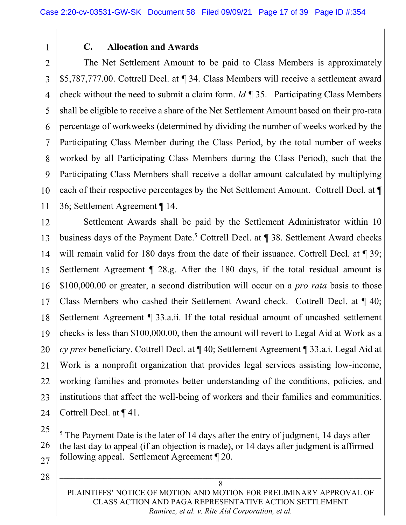1

### C. Allocation and Awards

 $\overline{2}$ 3 4 5 6 7 8 9 10 11 The Net Settlement Amount to be paid to Class Members is approximately \$5,787,777.00. Cottrell Decl. at ¶ 34. Class Members will receive a settlement award check without the need to submit a claim form. *Id*  $\P$  35. Participating Class Members shall be eligible to receive a share of the Net Settlement Amount based on their pro-rata percentage of workweeks (determined by dividing the number of weeks worked by the Participating Class Member during the Class Period, by the total number of weeks worked by all Participating Class Members during the Class Period), such that the Participating Class Members shall receive a dollar amount calculated by multiplying each of their respective percentages by the Net Settlement Amount. Cottrell Decl. at ¶ 36; Settlement Agreement ¶ 14.

12 13 14 15 16 17 18 19 20 21 22 23 24 Settlement Awards shall be paid by the Settlement Administrator within 10 business days of the Payment Date.<sup>5</sup> Cottrell Decl. at ¶ 38. Settlement Award checks will remain valid for 180 days from the date of their issuance. Cottrell Decl. at  $\P$  39; Settlement Agreement ¶ 28.g. After the 180 days, if the total residual amount is \$100,000.00 or greater, a second distribution will occur on a *pro rata* basis to those Class Members who cashed their Settlement Award check. Cottrell Decl. at ¶ 40; Settlement Agreement ¶ 33.a.ii. If the total residual amount of uncashed settlement checks is less than \$100,000.00, then the amount will revert to Legal Aid at Work as a cy pres beneficiary. Cottrell Decl. at ¶ 40; Settlement Agreement ¶ 33.a.i. Legal Aid at Work is a nonprofit organization that provides legal services assisting low-income, working families and promotes better understanding of the conditions, policies, and institutions that affect the well-being of workers and their families and communities. Cottrell Decl. at ¶ 41.

25

28

27

PLAINTIFFS' NOTICE OF MOTION AND MOTION FOR PRELIMINARY APPROVAL OF CLASS ACTION AND PAGA REPRESENTATIVE ACTION SETTLEMENT Ramirez, et al. v. Rite Aid Corporation, et al.

<sup>26</sup>   $<sup>5</sup>$  The Payment Date is the later of 14 days after the entry of judgment, 14 days after</sup> the last day to appeal (if an objection is made), or 14 days after judgment is affirmed following appeal. Settlement Agreement ¶ 20.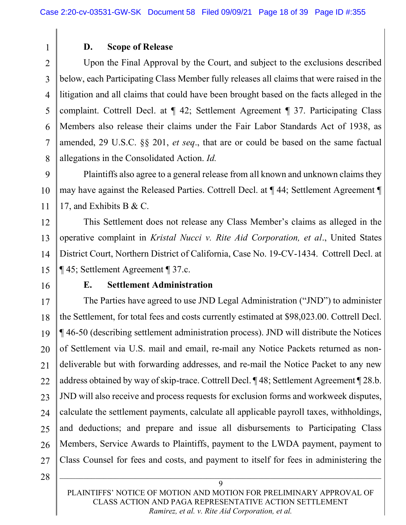### D. Scope of Release

 $\overline{2}$ 3 4 5 6 7 8 Upon the Final Approval by the Court, and subject to the exclusions described below, each Participating Class Member fully releases all claims that were raised in the litigation and all claims that could have been brought based on the facts alleged in the complaint. Cottrell Decl. at ¶ 42; Settlement Agreement ¶ 37. Participating Class Members also release their claims under the Fair Labor Standards Act of 1938, as amended, 29 U.S.C. §§ 201, et seq., that are or could be based on the same factual allegations in the Consolidated Action. Id.

9 10 11 Plaintiffs also agree to a general release from all known and unknown claims they may have against the Released Parties. Cottrell Decl. at ¶ 44; Settlement Agreement ¶ 17, and Exhibits B & C.

12 13 14 15 This Settlement does not release any Class Member's claims as alleged in the operative complaint in Kristal Nucci v. Rite Aid Corporation, et al., United States District Court, Northern District of California, Case No. 19-CV-1434. Cottrell Decl. at ¶ 45; Settlement Agreement ¶ 37.c.

16

1

### E. Settlement Administration

17 18 19 20 21 22 23 24 25 26 27 The Parties have agreed to use JND Legal Administration ("JND") to administer the Settlement, for total fees and costs currently estimated at \$98,023.00. Cottrell Decl. ¶ 46-50 (describing settlement administration process). JND will distribute the Notices of Settlement via U.S. mail and email, re-mail any Notice Packets returned as nondeliverable but with forwarding addresses, and re-mail the Notice Packet to any new address obtained by way of skip-trace. Cottrell Decl. ¶ 48; Settlement Agreement ¶ 28.b. JND will also receive and process requests for exclusion forms and workweek disputes, calculate the settlement payments, calculate all applicable payroll taxes, withholdings, and deductions; and prepare and issue all disbursements to Participating Class Members, Service Awards to Plaintiffs, payment to the LWDA payment, payment to Class Counsel for fees and costs, and payment to itself for fees in administering the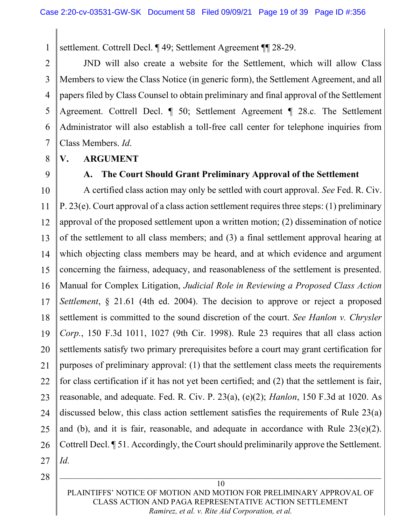settlement. Cottrell Decl. ¶ 49; Settlement Agreement ¶¶ 28-29.

2 3 4 5 6 7 JND will also create a website for the Settlement, which will allow Class Members to view the Class Notice (in generic form), the Settlement Agreement, and all papers filed by Class Counsel to obtain preliminary and final approval of the Settlement Agreement. Cottrell Decl. ¶ 50; Settlement Agreement ¶ 28.c. The Settlement Administrator will also establish a toll-free call center for telephone inquiries from Class Members. Id.

8

1

### V. ARGUMENT

9

## A. The Court Should Grant Preliminary Approval of the Settlement

10 11 12 13 14 15 16 17 18 19 20 21 22 23 24 25 26 27 A certified class action may only be settled with court approval. See Fed. R. Civ. P. 23(e). Court approval of a class action settlement requires three steps: (1) preliminary approval of the proposed settlement upon a written motion; (2) dissemination of notice of the settlement to all class members; and (3) a final settlement approval hearing at which objecting class members may be heard, and at which evidence and argument concerning the fairness, adequacy, and reasonableness of the settlement is presented. Manual for Complex Litigation, Judicial Role in Reviewing a Proposed Class Action Settlement, § 21.61 (4th ed. 2004). The decision to approve or reject a proposed settlement is committed to the sound discretion of the court. See Hanlon v. Chrysler Corp., 150 F.3d 1011, 1027 (9th Cir. 1998). Rule 23 requires that all class action settlements satisfy two primary prerequisites before a court may grant certification for purposes of preliminary approval: (1) that the settlement class meets the requirements for class certification if it has not yet been certified; and (2) that the settlement is fair, reasonable, and adequate. Fed. R. Civ. P. 23(a), (e)(2); Hanlon, 150 F.3d at 1020. As discussed below, this class action settlement satisfies the requirements of Rule 23(a) and (b), and it is fair, reasonable, and adequate in accordance with Rule  $23(e)(2)$ . Cottrell Decl. ¶ 51. Accordingly, the Court should preliminarily approve the Settlement. Id.

28

PLAINTIFFS' NOTICE OF MOTION AND MOTION FOR PRELIMINARY APPROVAL OF CLASS ACTION AND PAGA REPRESENTATIVE ACTION SETTLEMENT Ramirez, et al. v. Rite Aid Corporation, et al.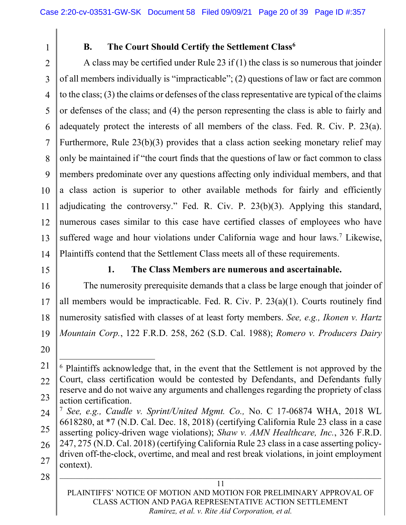1

## B. The Court Should Certify the Settlement Class<sup>6</sup>

 $\overline{2}$ 3 4 5 6 7 8 9 10 11 12 13 14 A class may be certified under Rule 23 if (1) the class is so numerous that joinder of all members individually is "impracticable"; (2) questions of law or fact are common to the class; (3) the claims or defenses of the class representative are typical of the claims or defenses of the class; and (4) the person representing the class is able to fairly and adequately protect the interests of all members of the class. Fed. R. Civ. P. 23(a). Furthermore, Rule 23(b)(3) provides that a class action seeking monetary relief may only be maintained if "the court finds that the questions of law or fact common to class members predominate over any questions affecting only individual members, and that a class action is superior to other available methods for fairly and efficiently adjudicating the controversy." Fed. R. Civ. P. 23(b)(3). Applying this standard, numerous cases similar to this case have certified classes of employees who have suffered wage and hour violations under California wage and hour laws.<sup>7</sup> Likewise, Plaintiffs contend that the Settlement Class meets all of these requirements.

15

### 1. The Class Members are numerous and ascertainable.

16 17 18 19 The numerosity prerequisite demands that a class be large enough that joinder of all members would be impracticable. Fed. R. Civ. P.  $23(a)(1)$ . Courts routinely find numerosity satisfied with classes of at least forty members. See, e.g., Ikonen v. Hartz Mountain Corp., 122 F.R.D. 258, 262 (S.D. Cal. 1988); Romero v. Producers Dairy

20

<sup>21</sup>  22 23 <sup>6</sup> Plaintiffs acknowledge that, in the event that the Settlement is not approved by the Court, class certification would be contested by Defendants, and Defendants fully reserve and do not waive any arguments and challenges regarding the propriety of class action certification.

<sup>24</sup>  25 26 27 <sup>7</sup> See, e.g., Caudle v. Sprint/United Mgmt. Co., No. C 17-06874 WHA, 2018 WL 6618280, at \*7 (N.D. Cal. Dec. 18, 2018) (certifying California Rule 23 class in a case asserting policy-driven wage violations); Shaw v. AMN Healthcare, Inc., 326 F.R.D. 247, 275 (N.D. Cal. 2018) (certifying California Rule 23 class in a case asserting policydriven off-the-clock, overtime, and meal and rest break violations, in joint employment context).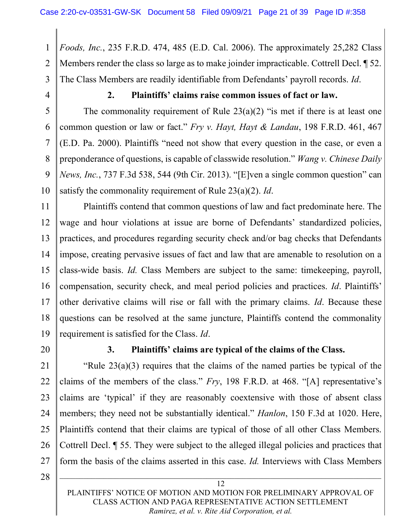1 2 3 Foods, Inc., 235 F.R.D. 474, 485 (E.D. Cal. 2006). The approximately 25,282 Class Members render the class so large as to make joinder impracticable. Cottrell Decl. ¶ 52. The Class Members are readily identifiable from Defendants' payroll records. *Id.* 

4

5

6

7

8

9

10

## 2. Plaintiffs' claims raise common issues of fact or law.

The commonality requirement of Rule  $23(a)(2)$  "is met if there is at least one common question or law or fact." Fry v. Hayt, Hayt & Landau, 198 F.R.D. 461, 467 (E.D. Pa. 2000). Plaintiffs "need not show that every question in the case, or even a preponderance of questions, is capable of classwide resolution." Wang v. Chinese Daily News, Inc., 737 F.3d 538, 544 (9th Cir. 2013). "[E]ven a single common question" can satisfy the commonality requirement of Rule  $23(a)(2)$ . *Id.* 

11 12 13 14 15 16 17 18 19 Plaintiffs contend that common questions of law and fact predominate here. The wage and hour violations at issue are borne of Defendants' standardized policies, practices, and procedures regarding security check and/or bag checks that Defendants impose, creating pervasive issues of fact and law that are amenable to resolution on a class-wide basis. Id. Class Members are subject to the same: timekeeping, payroll, compensation, security check, and meal period policies and practices. Id. Plaintiffs' other derivative claims will rise or fall with the primary claims. Id. Because these questions can be resolved at the same juncture, Plaintiffs contend the commonality requirement is satisfied for the Class. *Id.* 

20

### 3. Plaintiffs' claims are typical of the claims of the Class.

21 22 23 24 25 26 27 "Rule  $23(a)(3)$  requires that the claims of the named parties be typical of the claims of the members of the class." Fry, 198 F.R.D. at 468. "[A] representative's claims are 'typical' if they are reasonably coextensive with those of absent class members; they need not be substantially identical." *Hanlon*, 150 F.3d at 1020. Here, Plaintiffs contend that their claims are typical of those of all other Class Members. Cottrell Decl. ¶ 55. They were subject to the alleged illegal policies and practices that form the basis of the claims asserted in this case. *Id*. Interviews with Class Members

28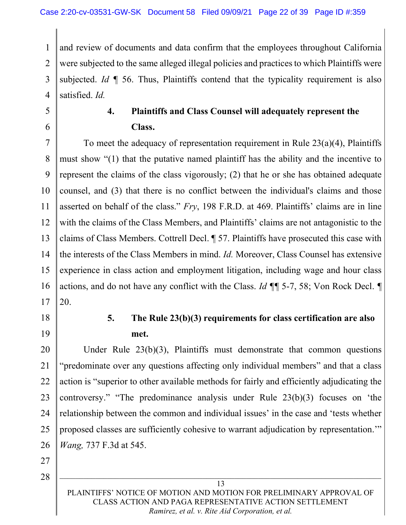1 2 3 4 and review of documents and data confirm that the employees throughout California were subjected to the same alleged illegal policies and practices to which Plaintiffs were subjected. Id  $\P$  56. Thus, Plaintiffs contend that the typicality requirement is also satisfied. *Id.* 

- 5
- 6

# 4. Plaintiffs and Class Counsel will adequately represent the Class.

7 8 9 10 11 12 13 14 15 16 17 To meet the adequacy of representation requirement in Rule 23(a)(4), Plaintiffs must show "(1) that the putative named plaintiff has the ability and the incentive to represent the claims of the class vigorously; (2) that he or she has obtained adequate counsel, and (3) that there is no conflict between the individual's claims and those asserted on behalf of the class."  $Fry$ , 198 F.R.D. at 469. Plaintiffs' claims are in line with the claims of the Class Members, and Plaintiffs' claims are not antagonistic to the claims of Class Members. Cottrell Decl. ¶ 57. Plaintiffs have prosecuted this case with the interests of the Class Members in mind. Id. Moreover, Class Counsel has extensive experience in class action and employment litigation, including wage and hour class actions, and do not have any conflict with the Class. Id ¶¶ 5-7, 58; Von Rock Decl. ¶ 20.

18

19

5. The Rule 23(b)(3) requirements for class certification are also met.

20 21 22 23 24 25 26 Under Rule 23(b)(3), Plaintiffs must demonstrate that common questions "predominate over any questions affecting only individual members" and that a class action is "superior to other available methods for fairly and efficiently adjudicating the controversy." "The predominance analysis under Rule 23(b)(3) focuses on 'the relationship between the common and individual issues' in the case and 'tests whether proposed classes are sufficiently cohesive to warrant adjudication by representation.'" Wang, 737 F.3d at 545.

27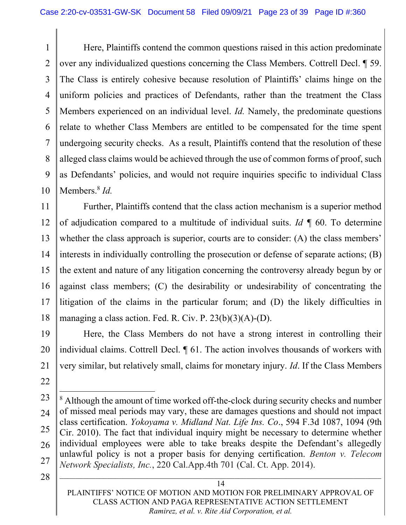1 2 3 4 5 6 7 8 9 10 Here, Plaintiffs contend the common questions raised in this action predominate over any individualized questions concerning the Class Members. Cottrell Decl. ¶ 59. The Class is entirely cohesive because resolution of Plaintiffs' claims hinge on the uniform policies and practices of Defendants, rather than the treatment the Class Members experienced on an individual level. Id. Namely, the predominate questions relate to whether Class Members are entitled to be compensated for the time spent undergoing security checks. As a result, Plaintiffs contend that the resolution of these alleged class claims would be achieved through the use of common forms of proof, such as Defendants' policies, and would not require inquiries specific to individual Class Members.<sup>8</sup> Id.

11 12 13 14 15 16 17 18 Further, Plaintiffs contend that the class action mechanism is a superior method of adjudication compared to a multitude of individual suits. Id  $\P$  60. To determine whether the class approach is superior, courts are to consider: (A) the class members' interests in individually controlling the prosecution or defense of separate actions; (B) the extent and nature of any litigation concerning the controversy already begun by or against class members; (C) the desirability or undesirability of concentrating the litigation of the claims in the particular forum; and (D) the likely difficulties in managing a class action. Fed. R. Civ. P.  $23(b)(3)(A)$ -(D).

19 20 Here, the Class Members do not have a strong interest in controlling their individual claims. Cottrell Decl. ¶ 61. The action involves thousands of workers with very similar, but relatively small, claims for monetary injury. Id. If the Class Members

21

23

<sup>22</sup> 

<sup>24</sup>  25 26 27 <sup>8</sup> Although the amount of time worked off-the-clock during security checks and number of missed meal periods may vary, these are damages questions and should not impact class certification. Yokoyama v. Midland Nat. Life Ins. Co., 594 F.3d 1087, 1094 (9th Cir. 2010). The fact that individual inquiry might be necessary to determine whether individual employees were able to take breaks despite the Defendant's allegedly unlawful policy is not a proper basis for denying certification. Benton v. Telecom Network Specialists, Inc., 220 Cal.App.4th 701 (Cal. Ct. App. 2014).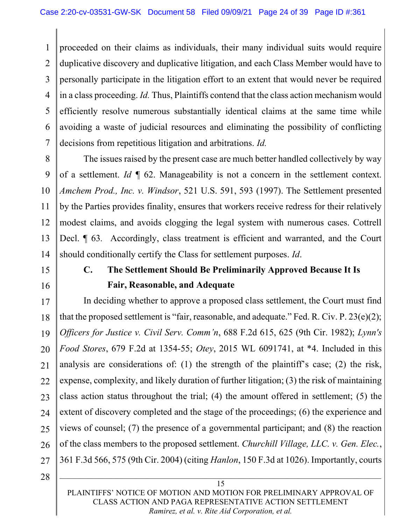1 2 3 4 5 6 7 proceeded on their claims as individuals, their many individual suits would require duplicative discovery and duplicative litigation, and each Class Member would have to personally participate in the litigation effort to an extent that would never be required in a class proceeding. Id. Thus, Plaintiffs contend that the class action mechanism would efficiently resolve numerous substantially identical claims at the same time while avoiding a waste of judicial resources and eliminating the possibility of conflicting decisions from repetitious litigation and arbitrations. *Id.* 

8 9 10 11 12 13 14 The issues raised by the present case are much better handled collectively by way of a settlement. Id  $\P$  62. Manageability is not a concern in the settlement context. Amchem Prod., Inc. v. Windsor, 521 U.S. 591, 593 (1997). The Settlement presented by the Parties provides finality, ensures that workers receive redress for their relatively modest claims, and avoids clogging the legal system with numerous cases. Cottrell Decl.  $\llbracket$  63. Accordingly, class treatment is efficient and warranted, and the Court should conditionally certify the Class for settlement purposes. *Id.* 

- 15
- 16

# C. The Settlement Should Be Preliminarily Approved Because It Is Fair, Reasonable, and Adequate

17 18 19 20 21 22 23 24 25 26 27 In deciding whether to approve a proposed class settlement, the Court must find that the proposed settlement is "fair, reasonable, and adequate." Fed. R. Civ. P.  $23(e)(2)$ ; Officers for Justice v. Civil Serv. Comm'n, 688 F.2d 615, 625 (9th Cir. 1982); Lynn's Food Stores, 679 F.2d at 1354-55; Otey, 2015 WL 6091741, at \*4. Included in this analysis are considerations of: (1) the strength of the plaintiff's case; (2) the risk, expense, complexity, and likely duration of further litigation; (3) the risk of maintaining class action status throughout the trial; (4) the amount offered in settlement; (5) the extent of discovery completed and the stage of the proceedings; (6) the experience and views of counsel; (7) the presence of a governmental participant; and (8) the reaction of the class members to the proposed settlement. Churchill Village, LLC. v. Gen. Elec., 361 F.3d 566, 575 (9th Cir. 2004) (citing Hanlon, 150 F.3d at 1026). Importantly, courts

28

PLAINTIFFS' NOTICE OF MOTION AND MOTION FOR PRELIMINARY APPROVAL OF CLASS ACTION AND PAGA REPRESENTATIVE ACTION SETTLEMENT Ramirez, et al. v. Rite Aid Corporation, et al.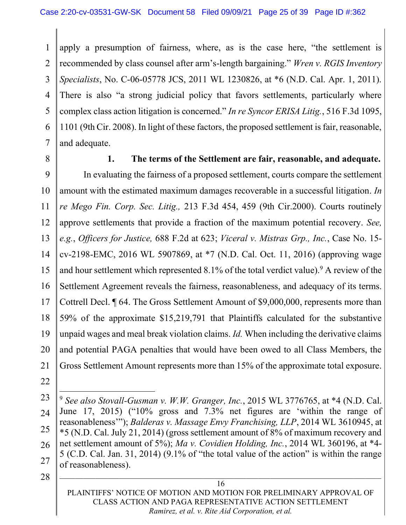1 2 3 4 5 6 7 apply a presumption of fairness, where, as is the case here, "the settlement is recommended by class counsel after arm's-length bargaining." Wren v. RGIS Inventory Specialists, No. C-06-05778 JCS, 2011 WL 1230826, at \*6 (N.D. Cal. Apr. 1, 2011). There is also "a strong judicial policy that favors settlements, particularly where complex class action litigation is concerned." In re Syncor ERISA Litig., 516 F.3d 1095, 1101 (9th Cir. 2008). In light of these factors, the proposed settlement is fair, reasonable, and adequate.

8

### 1. The terms of the Settlement are fair, reasonable, and adequate.

9 10 11 12 13 14 15 16 17 18 19 20 21 In evaluating the fairness of a proposed settlement, courts compare the settlement amount with the estimated maximum damages recoverable in a successful litigation. In re Mego Fin. Corp. Sec. Litig., 213 F.3d 454, 459 (9th Cir.2000). Courts routinely approve settlements that provide a fraction of the maximum potential recovery. See, e.g., Officers for Justice, 688 F.2d at 623; Viceral v. Mistras Grp., Inc., Case No. 15 cv-2198-EMC, 2016 WL 5907869, at \*7 (N.D. Cal. Oct. 11, 2016) (approving wage and hour settlement which represented 8.1% of the total verdict value). <sup>9</sup> A review of the Settlement Agreement reveals the fairness, reasonableness, and adequacy of its terms. Cottrell Decl. ¶ 64. The Gross Settlement Amount of \$9,000,000, represents more than 59% of the approximate \$15,219,791 that Plaintiffs calculated for the substantive unpaid wages and meal break violation claims. Id. When including the derivative claims and potential PAGA penalties that would have been owed to all Class Members, the Gross Settlement Amount represents more than 15% of the approximate total exposure.

- 22
- 23
- 24
- 

 $9$  See also Stovall-Gusman v. W.W. Granger, Inc., 2015 WL 3776765, at  $*4$  (N.D. Cal.

<sup>25</sup>  26 27 June 17, 2015) ("10% gross and 7.3% net figures are 'within the range of reasonableness'"); *Balderas v. Massage Envy Franchising, LLP*, 2014 WL 3610945, at \*5 (N.D. Cal. July 21, 2014) (gross settlement amount of 8% of maximum recovery and net settlement amount of 5%); Ma v. Covidien Holding, Inc., 2014 WL 360196, at \*4-5 (C.D. Cal. Jan. 31, 2014) (9.1% of "the total value of the action" is within the range of reasonableness).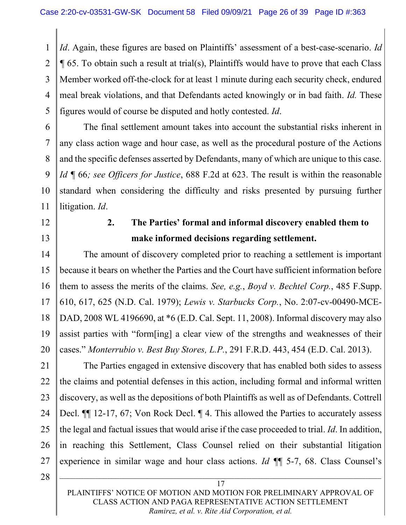1 2 3 4 5 Id. Again, these figures are based on Plaintiffs' assessment of a best-case-scenario. Id ¶ 65. To obtain such a result at trial(s), Plaintiffs would have to prove that each Class Member worked off-the-clock for at least 1 minute during each security check, endured meal break violations, and that Defendants acted knowingly or in bad faith. *Id.* These figures would of course be disputed and hotly contested. Id.

The final settlement amount takes into account the substantial risks inherent in any class action wage and hour case, as well as the procedural posture of the Actions and the specific defenses asserted by Defendants, many of which are unique to this case. Id ¶ 66; see Officers for Justice, 688 F.2d at 623. The result is within the reasonable standard when considering the difficulty and risks presented by pursuing further litigation. *Id.* 

12

13

6

7

8

9

10

11

# 2. The Parties' formal and informal discovery enabled them to make informed decisions regarding settlement.

14 15 16 17 18 19 20 The amount of discovery completed prior to reaching a settlement is important because it bears on whether the Parties and the Court have sufficient information before them to assess the merits of the claims. See, e.g., Boyd v. Bechtel Corp., 485 F.Supp. 610, 617, 625 (N.D. Cal. 1979); Lewis v. Starbucks Corp., No. 2:07-cv-00490-MCE-DAD, 2008 WL 4196690, at \*6 (E.D. Cal. Sept. 11, 2008). Informal discovery may also assist parties with "form[ing] a clear view of the strengths and weaknesses of their cases." Monterrubio v. Best Buy Stores, L.P., 291 F.R.D. 443, 454 (E.D. Cal. 2013).

21 22 23 24 25 26 27 The Parties engaged in extensive discovery that has enabled both sides to assess the claims and potential defenses in this action, including formal and informal written discovery, as well as the depositions of both Plaintiffs as well as of Defendants. Cottrell Decl. ¶¶ 12-17, 67; Von Rock Decl. ¶ 4. This allowed the Parties to accurately assess the legal and factual issues that would arise if the case proceeded to trial. Id. In addition, in reaching this Settlement, Class Counsel relied on their substantial litigation experience in similar wage and hour class actions. Id ¶¶ 5-7, 68. Class Counsel's

28

PLAINTIFFS' NOTICE OF MOTION AND MOTION FOR PRELIMINARY APPROVAL OF CLASS ACTION AND PAGA REPRESENTATIVE ACTION SETTLEMENT Ramirez, et al. v. Rite Aid Corporation, et al.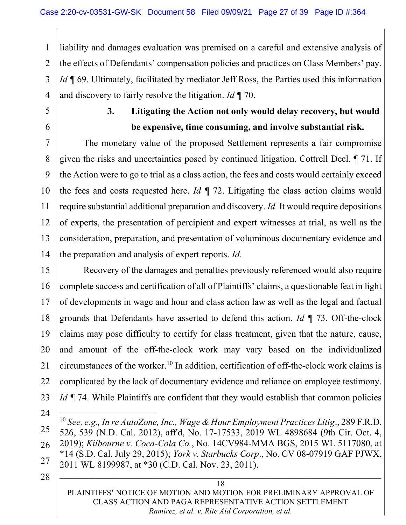1 2 3 4 liability and damages evaluation was premised on a careful and extensive analysis of the effects of Defendants' compensation policies and practices on Class Members' pay. Id ¶ 69. Ultimately, facilitated by mediator Jeff Ross, the Parties used this information and discovery to fairly resolve the litigation. Id  $\P$  70.

5

6

# 3. Litigating the Action not only would delay recovery, but would be expensive, time consuming, and involve substantial risk.

7 8 9 10 11 12 13 14 The monetary value of the proposed Settlement represents a fair compromise given the risks and uncertainties posed by continued litigation. Cottrell Decl. ¶ 71. If the Action were to go to trial as a class action, the fees and costs would certainly exceed the fees and costs requested here. Id  $\P$  72. Litigating the class action claims would require substantial additional preparation and discovery. Id. It would require depositions of experts, the presentation of percipient and expert witnesses at trial, as well as the consideration, preparation, and presentation of voluminous documentary evidence and the preparation and analysis of expert reports. Id.

15 16 17 18 19 20 21 22 23 Recovery of the damages and penalties previously referenced would also require complete success and certification of all of Plaintiffs' claims, a questionable feat in light of developments in wage and hour and class action law as well as the legal and factual grounds that Defendants have asserted to defend this action. Id  $\P$  73. Off-the-clock claims may pose difficulty to certify for class treatment, given that the nature, cause, and amount of the off-the-clock work may vary based on the individualized circumstances of the worker.<sup>10</sup> In addition, certification of off-the-clock work claims is complicated by the lack of documentary evidence and reliance on employee testimony. Id  $\P$  74. While Plaintiffs are confident that they would establish that common policies

24

25

26

27

<sup>10</sup> See. e.g., In re AutoZone, Inc., Wage & Hour Employment Practices Litig., 289 F.R.D. 526, 539 (N.D. Cal. 2012), aff'd, No. 17-17533, 2019 WL 4898684 (9th Cir. Oct. 4, 2019); Kilbourne v. Coca-Cola Co., No. 14CV984-MMA BGS, 2015 WL 5117080, at \*14 (S.D. Cal. July 29, 2015); York v. Starbucks Corp., No. CV 08-07919 GAF PJWX, 2011 WL 8199987, at \*30 (C.D. Cal. Nov. 23, 2011).

28

PLAINTIFFS' NOTICE OF MOTION AND MOTION FOR PRELIMINARY APPROVAL OF CLASS ACTION AND PAGA REPRESENTATIVE ACTION SETTLEMENT Ramirez, et al. v. Rite Aid Corporation, et al.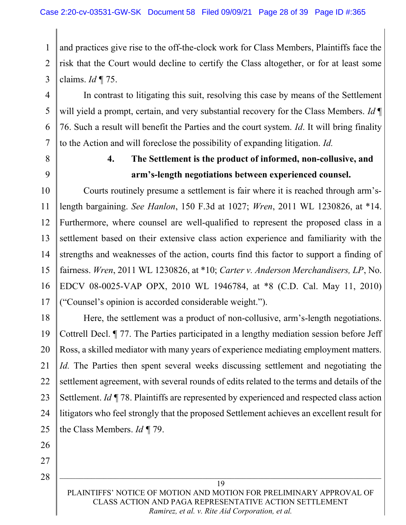1 2 3 and practices give rise to the off-the-clock work for Class Members, Plaintiffs face the risk that the Court would decline to certify the Class altogether, or for at least some claims. Id  $\P$  75.

4 In contrast to litigating this suit, resolving this case by means of the Settlement will yield a prompt, certain, and very substantial recovery for the Class Members. Id  $\P$ 76. Such a result will benefit the Parties and the court system. Id. It will bring finality to the Action and will foreclose the possibility of expanding litigation. Id.

8

9

5

6

7

# 4. The Settlement is the product of informed, non-collusive, and arm's-length negotiations between experienced counsel.

10 11 12 13 14 15 16 17 Courts routinely presume a settlement is fair where it is reached through arm'slength bargaining. See Hanlon, 150 F.3d at 1027; Wren, 2011 WL 1230826, at \*14. Furthermore, where counsel are well-qualified to represent the proposed class in a settlement based on their extensive class action experience and familiarity with the strengths and weaknesses of the action, courts find this factor to support a finding of fairness. Wren, 2011 WL 1230826, at \*10; Carter v. Anderson Merchandisers, LP, No. EDCV 08-0025-VAP OPX, 2010 WL 1946784, at \*8 (C.D. Cal. May 11, 2010) ("Counsel's opinion is accorded considerable weight.").

18 19 20 21 22 23 24 25 Here, the settlement was a product of non-collusive, arm's-length negotiations. Cottrell Decl. ¶ 77. The Parties participated in a lengthy mediation session before Jeff Ross, a skilled mediator with many years of experience mediating employment matters. Id. The Parties then spent several weeks discussing settlement and negotiating the settlement agreement, with several rounds of edits related to the terms and details of the Settlement. *Id*  $\P$  78. Plaintiffs are represented by experienced and respected class action litigators who feel strongly that the proposed Settlement achieves an excellent result for the Class Members. Id ¶ 79.

26

27 28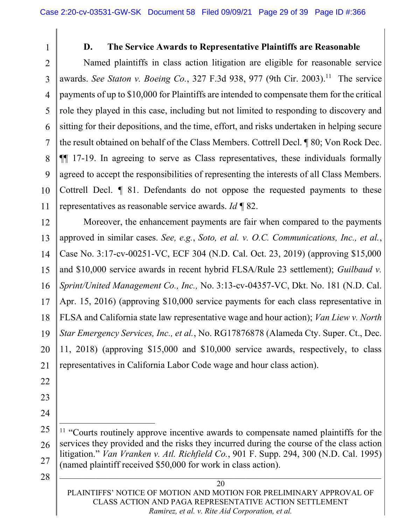1

### D. The Service Awards to Representative Plaintiffs are Reasonable

 $\overline{2}$ 3 4 5 6 7 8 9 10 11 Named plaintiffs in class action litigation are eligible for reasonable service awards. See Staton v. Boeing Co., 327 F.3d 938, 977 (9th Cir. 2003).<sup>11</sup> The service payments of up to \$10,000 for Plaintiffs are intended to compensate them for the critical role they played in this case, including but not limited to responding to discovery and sitting for their depositions, and the time, effort, and risks undertaken in helping secure the result obtained on behalf of the Class Members. Cottrell Decl. ¶ 80; Von Rock Dec. ¶¶ 17-19. In agreeing to serve as Class representatives, these individuals formally agreed to accept the responsibilities of representing the interests of all Class Members. Cottrell Decl. ¶ 81. Defendants do not oppose the requested payments to these representatives as reasonable service awards. Id  $\P$  82.

12 13 14 15 16 17 18 19 20 21 Moreover, the enhancement payments are fair when compared to the payments approved in similar cases. See, e.g., Soto, et al. v. O.C. Communications, Inc., et al., Case No. 3:17-cv-00251-VC, ECF 304 (N.D. Cal. Oct. 23, 2019) (approving \$15,000 and \$10,000 service awards in recent hybrid FLSA/Rule 23 settlement); Guilbaud v. Sprint/United Management Co., Inc., No. 3:13-cv-04357-VC, Dkt. No. 181 (N.D. Cal.) Apr. 15, 2016) (approving \$10,000 service payments for each class representative in FLSA and California state law representative wage and hour action); Van Liew v. North Star Emergency Services, Inc., et al., No. RG17876878 (Alameda Cty. Super. Ct., Dec. 11, 2018) (approving \$15,000 and \$10,000 service awards, respectively, to class representatives in California Labor Code wage and hour class action).

- 22
- 23
- 24

28

<sup>25</sup>  26 27 <sup>11</sup> "Courts routinely approve incentive awards to compensate named plaintiffs for the services they provided and the risks they incurred during the course of the class action litigation." Van Vranken v. Atl. Richfield Co., 901 F. Supp. 294, 300 (N.D. Cal. 1995) (named plaintiff received \$50,000 for work in class action).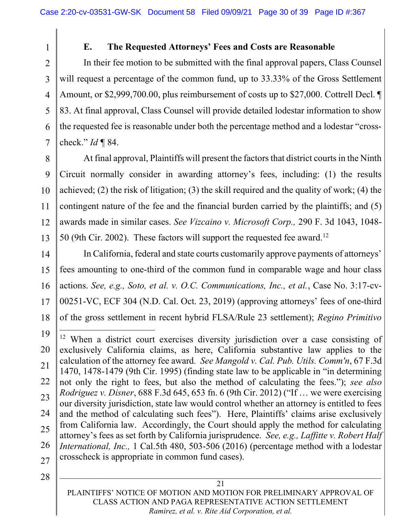### E. The Requested Attorneys' Fees and Costs are Reasonable

 $\overline{2}$ 3 4 5 6 7 In their fee motion to be submitted with the final approval papers, Class Counsel will request a percentage of the common fund, up to 33.33% of the Gross Settlement Amount, or \$2,999,700.00, plus reimbursement of costs up to \$27,000. Cottrell Decl. ¶ 83. At final approval, Class Counsel will provide detailed lodestar information to show the requested fee is reasonable under both the percentage method and a lodestar "crosscheck."  $Id \P 84$ .

8 9 10 11 12 13 At final approval, Plaintiffs will present the factors that district courts in the Ninth Circuit normally consider in awarding attorney's fees, including: (1) the results achieved; (2) the risk of litigation; (3) the skill required and the quality of work; (4) the contingent nature of the fee and the financial burden carried by the plaintiffs; and (5) awards made in similar cases. See Vizcaino v. Microsoft Corp., 290 F. 3d 1043, 1048- 50 (9th Cir. 2002). These factors will support the requested fee award.<sup>12</sup>

14 15 16 17 18 In California, federal and state courts customarily approve payments of attorneys' fees amounting to one-third of the common fund in comparable wage and hour class actions. See, e.g., Soto, et al. v. O.C. Communications, Inc., et al., Case No. 3:17-cv-00251-VC, ECF 304 (N.D. Cal. Oct. 23, 2019) (approving attorneys' fees of one-third of the gross settlement in recent hybrid FLSA/Rule 23 settlement); Regino Primitivo

28

1

PLAINTIFFS' NOTICE OF MOTION AND MOTION FOR PRELIMINARY APPROVAL OF CLASS ACTION AND PAGA REPRESENTATIVE ACTION SETTLEMENT Ramirez, et al. v. Rite Aid Corporation, et al.

<sup>19</sup>  20 21 22 23 24 25 26 27 <sup>12</sup> When a district court exercises diversity jurisdiction over a case consisting of exclusively California claims, as here, California substantive law applies to the calculation of the attorney fee award. See Mangold v. Cal. Pub. Utils. Comm'n, 67 F.3d 1470, 1478-1479 (9th Cir. 1995) (finding state law to be applicable in "in determining not only the right to fees, but also the method of calculating the fees."); see also Rodriguez v. Disner, 688 F.3d 645, 653 fn. 6 (9th Cir. 2012) ("If … we were exercising our diversity jurisdiction, state law would control whether an attorney is entitled to fees and the method of calculating such fees"). Here, Plaintiffs' claims arise exclusively from California law. Accordingly, the Court should apply the method for calculating attorney's fees as set forth by California jurisprudence. See, e.g., Laffitte v. Robert Half International, Inc., 1 Cal.5th 480, 503-506 (2016) (percentage method with a lodestar crosscheck is appropriate in common fund cases).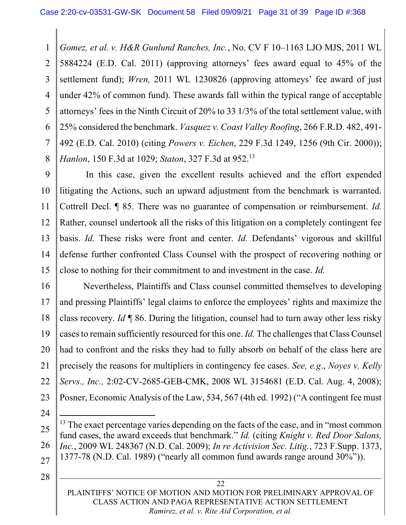1 2 3 4 5 6 7 8 Gomez, et al. v. H&R Gunlund Ranches, Inc., No. CV F 10–1163 LJO MJS, 2011 WL 5884224 (E.D. Cal. 2011) (approving attorneys' fees award equal to 45% of the settlement fund); Wren, 2011 WL 1230826 (approving attorneys' fee award of just under 42% of common fund). These awards fall within the typical range of acceptable attorneys' fees in the Ninth Circuit of 20% to 33 1/3% of the total settlement value, with 25% considered the benchmark. *Vasquez v. Coast Valley Roofing*, 266 F.R.D. 482, 491-492 (E.D. Cal. 2010) (citing Powers v. Eichen, 229 F.3d 1249, 1256 (9th Cir. 2000)); Hanlon, 150 F.3d at 1029; Staton, 327 F.3d at 952.<sup>13</sup>

9 10 11 12 13 14 15 In this case, given the excellent results achieved and the effort expended litigating the Actions, such an upward adjustment from the benchmark is warranted. Cottrell Decl. ¶ 85. There was no guarantee of compensation or reimbursement. Id. Rather, counsel undertook all the risks of this litigation on a completely contingent fee basis. Id. These risks were front and center. Id. Defendants' vigorous and skillful defense further confronted Class Counsel with the prospect of recovering nothing or close to nothing for their commitment to and investment in the case. Id.

16 17 18 19 20 21 22 23 Nevertheless, Plaintiffs and Class counsel committed themselves to developing and pressing Plaintiffs' legal claims to enforce the employees' rights and maximize the class recovery. Id  $\P$  86. During the litigation, counsel had to turn away other less risky cases to remain sufficiently resourced for this one. Id. The challenges that Class Counsel had to confront and the risks they had to fully absorb on behalf of the class here are precisely the reasons for multipliers in contingency fee cases. See, e.g., Noyes v. Kelly Servs., Inc., 2:02-CV-2685-GEB-CMK, 2008 WL 3154681 (E.D. Cal. Aug. 4, 2008); Posner, Economic Analysis of the Law, 534, 567 (4th ed. 1992) ("A contingent fee must

- 24 25 26 27  $13$  The exact percentage varies depending on the facts of the case, and in "most common" fund cases, the award exceeds that benchmark." Id. (citing Knight v. Red Door Salons, Inc., 2009 WL 248367 (N.D. Cal. 2009); In re Activision Sec. Litig., 723 F.Supp. 1373, 1377-78 (N.D. Cal. 1989) ("nearly all common fund awards range around 30%")).
- 28

PLAINTIFFS' NOTICE OF MOTION AND MOTION FOR PRELIMINARY APPROVAL OF CLASS ACTION AND PAGA REPRESENTATIVE ACTION SETTLEMENT Ramirez, et al. v. Rite Aid Corporation, et al.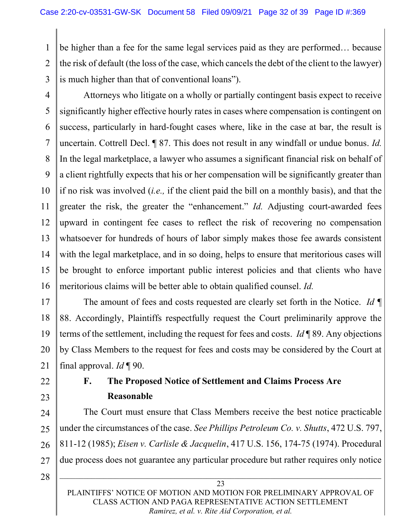1 2 3 be higher than a fee for the same legal services paid as they are performed… because the risk of default (the loss of the case, which cancels the debt of the client to the lawyer) is much higher than that of conventional loans").

4 5 6 7 8 9 10 11 12 13 14 15 16 Attorneys who litigate on a wholly or partially contingent basis expect to receive significantly higher effective hourly rates in cases where compensation is contingent on success, particularly in hard-fought cases where, like in the case at bar, the result is uncertain. Cottrell Decl. ¶ 87. This does not result in any windfall or undue bonus. *Id.* In the legal marketplace, a lawyer who assumes a significant financial risk on behalf of a client rightfully expects that his or her compensation will be significantly greater than if no risk was involved (i.e., if the client paid the bill on a monthly basis), and that the greater the risk, the greater the "enhancement." Id. Adjusting court-awarded fees upward in contingent fee cases to reflect the risk of recovering no compensation whatsoever for hundreds of hours of labor simply makes those fee awards consistent with the legal marketplace, and in so doing, helps to ensure that meritorious cases will be brought to enforce important public interest policies and that clients who have meritorious claims will be better able to obtain qualified counsel. Id.

17 18 19 20 21 The amount of fees and costs requested are clearly set forth in the Notice. Id  $\P$ 88. Accordingly, Plaintiffs respectfully request the Court preliminarily approve the terms of the settlement, including the request for fees and costs. Id  $\P$  89. Any objections by Class Members to the request for fees and costs may be considered by the Court at final approval.  $Id \P 90$ .

- 22
- 23

# F. The Proposed Notice of Settlement and Claims Process Are Reasonable

24 25 26 27 The Court must ensure that Class Members receive the best notice practicable under the circumstances of the case. See Phillips Petroleum Co. v. Shutts, 472 U.S. 797, 811-12 (1985); Eisen v. Carlisle & Jacquelin, 417 U.S. 156, 174-75 (1974). Procedural due process does not guarantee any particular procedure but rather requires only notice

28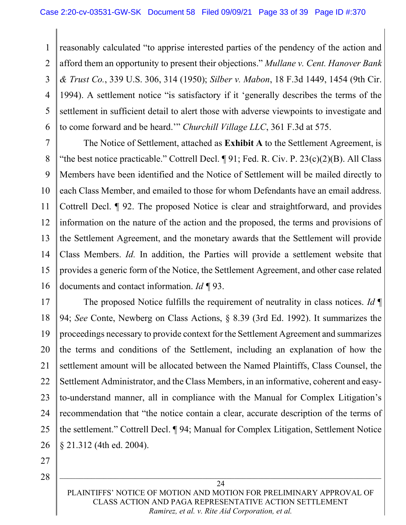1 2 3 4 5 6 reasonably calculated "to apprise interested parties of the pendency of the action and afford them an opportunity to present their objections." Mullane v. Cent. Hanover Bank & Trust Co., 339 U.S. 306, 314 (1950); Silber v. Mabon, 18 F.3d 1449, 1454 (9th Cir. 1994). A settlement notice "is satisfactory if it 'generally describes the terms of the settlement in sufficient detail to alert those with adverse viewpoints to investigate and to come forward and be heard.'" Churchill Village LLC, 361 F.3d at 575.

7 8 9 10 11 12 13 14 15 16 The Notice of Settlement, attached as **Exhibit A** to the Settlement Agreement, is "the best notice practicable." Cottrell Decl.  $\P$  91; Fed. R. Civ. P. 23(c)(2)(B). All Class Members have been identified and the Notice of Settlement will be mailed directly to each Class Member, and emailed to those for whom Defendants have an email address. Cottrell Decl. ¶ 92. The proposed Notice is clear and straightforward, and provides information on the nature of the action and the proposed, the terms and provisions of the Settlement Agreement, and the monetary awards that the Settlement will provide Class Members. Id. In addition, the Parties will provide a settlement website that provides a generic form of the Notice, the Settlement Agreement, and other case related documents and contact information. Id ¶ 93.

17 18 19 20 21 22 23 24 25 26 The proposed Notice fulfills the requirement of neutrality in class notices. Id  $\P$ 94; See Conte, Newberg on Class Actions, § 8.39 (3rd Ed. 1992). It summarizes the proceedings necessary to provide context for the Settlement Agreement and summarizes the terms and conditions of the Settlement, including an explanation of how the settlement amount will be allocated between the Named Plaintiffs, Class Counsel, the Settlement Administrator, and the Class Members, in an informative, coherent and easyto-understand manner, all in compliance with the Manual for Complex Litigation's recommendation that "the notice contain a clear, accurate description of the terms of the settlement." Cottrell Decl. ¶ 94; Manual for Complex Litigation, Settlement Notice § 21.312 (4th ed. 2004).

27

28

PLAINTIFFS' NOTICE OF MOTION AND MOTION FOR PRELIMINARY APPROVAL OF CLASS ACTION AND PAGA REPRESENTATIVE ACTION SETTLEMENT Ramirez, et al. v. Rite Aid Corporation, et al.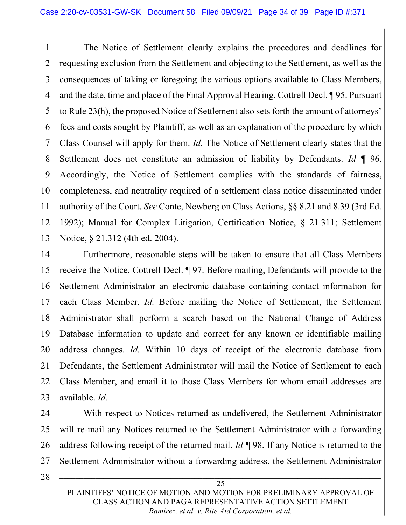1 2 3 4 5 6 7 8 9 10 11 12 13 The Notice of Settlement clearly explains the procedures and deadlines for requesting exclusion from the Settlement and objecting to the Settlement, as well as the consequences of taking or foregoing the various options available to Class Members, and the date, time and place of the Final Approval Hearing. Cottrell Decl. ¶ 95. Pursuant to Rule 23(h), the proposed Notice of Settlement also sets forth the amount of attorneys' fees and costs sought by Plaintiff, as well as an explanation of the procedure by which Class Counsel will apply for them. Id. The Notice of Settlement clearly states that the Settlement does not constitute an admission of liability by Defendants. Id  $\P$  96. Accordingly, the Notice of Settlement complies with the standards of fairness, completeness, and neutrality required of a settlement class notice disseminated under authority of the Court. See Conte, Newberg on Class Actions, §§ 8.21 and 8.39 (3rd Ed. 1992); Manual for Complex Litigation, Certification Notice, § 21.311; Settlement Notice, § 21.312 (4th ed. 2004).

14 15 16 17 18 19 20 21 22 23 Furthermore, reasonable steps will be taken to ensure that all Class Members receive the Notice. Cottrell Decl. ¶ 97. Before mailing, Defendants will provide to the Settlement Administrator an electronic database containing contact information for each Class Member. Id. Before mailing the Notice of Settlement, the Settlement Administrator shall perform a search based on the National Change of Address Database information to update and correct for any known or identifiable mailing address changes. Id. Within 10 days of receipt of the electronic database from Defendants, the Settlement Administrator will mail the Notice of Settlement to each Class Member, and email it to those Class Members for whom email addresses are available. Id.

24 25 26 27 With respect to Notices returned as undelivered, the Settlement Administrator will re-mail any Notices returned to the Settlement Administrator with a forwarding address following receipt of the returned mail. *Id*  $\P$  98. If any Notice is returned to the Settlement Administrator without a forwarding address, the Settlement Administrator

28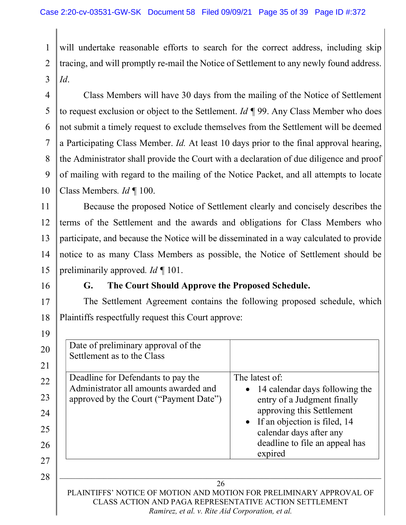1  $\mathfrak{D}$ 3 will undertake reasonable efforts to search for the correct address, including skip tracing, and will promptly re-mail the Notice of Settlement to any newly found address. Id.

4 5 6 7 8 9 10 Class Members will have 30 days from the mailing of the Notice of Settlement to request exclusion or object to the Settlement.  $Id \P 99$ . Any Class Member who does not submit a timely request to exclude themselves from the Settlement will be deemed a Participating Class Member. Id. At least 10 days prior to the final approval hearing, the Administrator shall provide the Court with a declaration of due diligence and proof of mailing with regard to the mailing of the Notice Packet, and all attempts to locate Class Members. Id ¶ 100.

11 12 13 14 15 Because the proposed Notice of Settlement clearly and concisely describes the terms of the Settlement and the awards and obligations for Class Members who participate, and because the Notice will be disseminated in a way calculated to provide notice to as many Class Members as possible, the Notice of Settlement should be preliminarily approved. Id | 101.

16

17

18

### G. The Court Should Approve the Proposed Schedule.

The Settlement Agreement contains the following proposed schedule, which Plaintiffs respectfully request this Court approve:

26 PLAINTIFFS' NOTICE OF MOTION AND MOTION FOR PRELIMINARY APPROVAL OF CLASS ACTION AND PAGA REPRESENTATIVE ACTION SETTLEMENT 19 20 21 22 23 24 25 26 27 28 Date of preliminary approval of the Settlement as to the Class Deadline for Defendants to pay the Administrator all amounts awarded and approved by the Court ("Payment Date") The latest of: • 14 calendar days following the entry of a Judgment finally approving this Settlement • If an objection is filed, 14 calendar days after any deadline to file an appeal has expired

Ramirez, et al. v. Rite Aid Corporation, et al.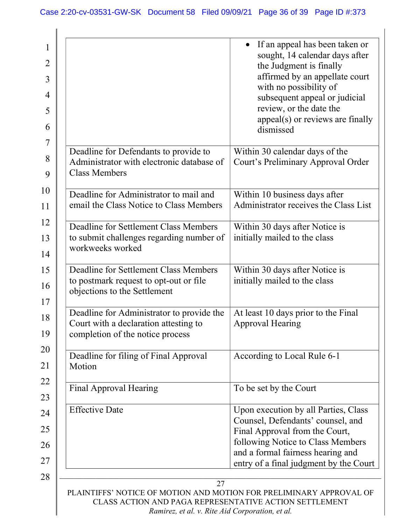|                                                                                                                        | If an appeal has been taken or<br>$\bullet$<br>sought, 14 calendar days after<br>the Judgment is finally                                                                              |
|------------------------------------------------------------------------------------------------------------------------|---------------------------------------------------------------------------------------------------------------------------------------------------------------------------------------|
|                                                                                                                        | affirmed by an appellate court<br>with no possibility of<br>subsequent appeal or judicial<br>review, or the date the<br>$appeal(s)$ or reviews are finally<br>dismissed               |
| Deadline for Defendants to provide to<br>Administrator with electronic database of<br><b>Class Members</b>             | Within 30 calendar days of the<br>Court's Preliminary Approval Order                                                                                                                  |
| Deadline for Administrator to mail and<br>email the Class Notice to Class Members                                      | Within 10 business days after<br>Administrator receives the Class List                                                                                                                |
| Deadline for Settlement Class Members<br>to submit challenges regarding number of<br>workweeks worked                  | Within 30 days after Notice is<br>initially mailed to the class                                                                                                                       |
| Deadline for Settlement Class Members<br>to postmark request to opt-out or file<br>objections to the Settlement        | Within 30 days after Notice is<br>initially mailed to the class                                                                                                                       |
| Deadline for Administrator to provide the<br>Court with a declaration attesting to<br>completion of the notice process | At least 10 days prior to the Final<br><b>Approval Hearing</b>                                                                                                                        |
| Deadline for filing of Final Approval<br>Motion                                                                        | According to Local Rule 6-1                                                                                                                                                           |
| Final Approval Hearing                                                                                                 | To be set by the Court                                                                                                                                                                |
| <b>Effective Date</b>                                                                                                  | Upon execution by all Parties, Class<br>Counsel, Defendants' counsel, and<br>Final Approval from the Court,<br>following Notice to Class Members<br>and a formal fairness hearing and |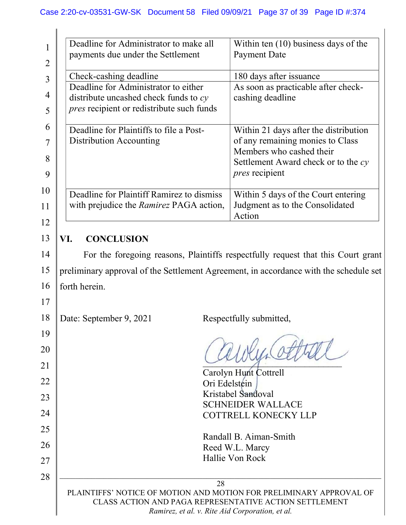|                | Deadline for Administrator to make all                                                      |               | Within ten $(10)$ business days of the                                                |
|----------------|---------------------------------------------------------------------------------------------|---------------|---------------------------------------------------------------------------------------|
| 2              | payments due under the Settlement                                                           |               | <b>Payment Date</b>                                                                   |
| $\overline{3}$ | Check-cashing deadline                                                                      |               | 180 days after issuance                                                               |
| 4              | Deadline for Administrator to either                                                        |               | As soon as practicable after check-                                                   |
| 5              | distribute uncashed check funds to $cy$<br><i>pres</i> recipient or redistribute such funds |               | cashing deadline                                                                      |
|                |                                                                                             |               |                                                                                       |
| 6              | Deadline for Plaintiffs to file a Post-                                                     |               | Within 21 days after the distribution                                                 |
| 7              | <b>Distribution Accounting</b>                                                              |               | of any remaining monies to Class<br>Members who cashed their                          |
| 8              |                                                                                             |               | Settlement Award check or to the $cy$                                                 |
| 9              |                                                                                             |               | <i>pres</i> recipient                                                                 |
| 10             | Deadline for Plaintiff Ramirez to dismiss                                                   |               | Within 5 days of the Court entering                                                   |
| 11             | with prejudice the <i>Ramirez</i> PAGA action,                                              |               | Judgment as to the Consolidated                                                       |
| 12             |                                                                                             |               | Action                                                                                |
| 13             | <b>CONCLUSION</b><br>VI.                                                                    |               |                                                                                       |
| 14             |                                                                                             |               | For the foregoing reasons, Plaintiffs respectfully request that this Court grant      |
| 15             |                                                                                             |               | preliminary approval of the Settlement Agreement, in accordance with the schedule set |
| 16             | forth herein.                                                                               |               |                                                                                       |
|                |                                                                                             |               |                                                                                       |
| 17             |                                                                                             |               |                                                                                       |
| 18             | Date: September 9, 2021                                                                     |               | Respectfully submitted,                                                               |
| 19             |                                                                                             |               |                                                                                       |
| 20             |                                                                                             |               |                                                                                       |
| 21             |                                                                                             |               | Carolyn Hunt Cottrell                                                                 |
|                |                                                                                             |               |                                                                                       |
| 22             |                                                                                             | Ori Edelstein |                                                                                       |
|                |                                                                                             |               | Kristabel Sandoval                                                                    |
| 23<br>24       |                                                                                             |               | <b>SCHNEIDER WALLACE</b><br><b>COTTRELL KONECKY LLP</b>                               |
| 25             |                                                                                             |               |                                                                                       |
| 26             |                                                                                             |               | Randall B. Aiman-Smith                                                                |
|                |                                                                                             |               | Reed W.L. Marcy<br>Hallie Von Rock                                                    |
| 27<br>28       |                                                                                             |               |                                                                                       |

Ramirez, et al. v. Rite Aid Corporation, et al.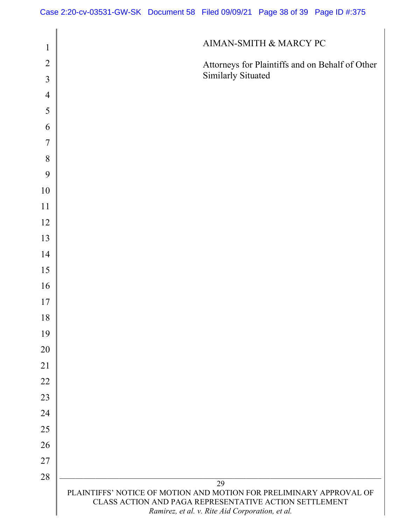| $\mathbf{1}$   | AIMAN-SMITH $\&$ MARCY PC                                                                                                                                                              |
|----------------|----------------------------------------------------------------------------------------------------------------------------------------------------------------------------------------|
|                |                                                                                                                                                                                        |
| $\overline{2}$ | Attorneys for Plaintiffs and on Behalf of Other<br>Similarly Situated                                                                                                                  |
| 3              |                                                                                                                                                                                        |
| $\overline{4}$ |                                                                                                                                                                                        |
| 5              |                                                                                                                                                                                        |
| 6              |                                                                                                                                                                                        |
| $\overline{7}$ |                                                                                                                                                                                        |
| 8              |                                                                                                                                                                                        |
| 9              |                                                                                                                                                                                        |
| 10             |                                                                                                                                                                                        |
| 11             |                                                                                                                                                                                        |
| 12             |                                                                                                                                                                                        |
| 13             |                                                                                                                                                                                        |
| 14             |                                                                                                                                                                                        |
| 15             |                                                                                                                                                                                        |
| 16             |                                                                                                                                                                                        |
| 17             |                                                                                                                                                                                        |
| 18             |                                                                                                                                                                                        |
| 19             |                                                                                                                                                                                        |
| 20             |                                                                                                                                                                                        |
| 21             |                                                                                                                                                                                        |
| 22             |                                                                                                                                                                                        |
| 23             |                                                                                                                                                                                        |
| 24             |                                                                                                                                                                                        |
| 25             |                                                                                                                                                                                        |
| 26             |                                                                                                                                                                                        |
| 27             |                                                                                                                                                                                        |
| 28             |                                                                                                                                                                                        |
|                | 29<br>PLAINTIFFS' NOTICE OF MOTION AND MOTION FOR PRELIMINARY APPROVAL OF<br>CLASS ACTION AND PAGA REPRESENTATIVE ACTION SETTLEMENT<br>Ramirez, et al. v. Rite Aid Corporation, et al. |